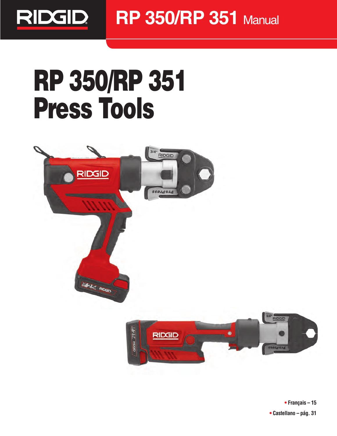# **RP 350/RP 351** Manual**IDGII**

# **RP 350/RP 351 Press Tools**



**• Français – 15 • Castellano – pág. 31**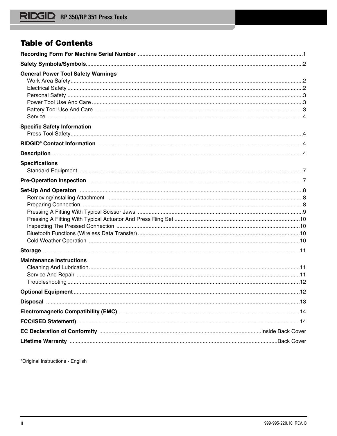# **Table of Contents**

| <b>General Power Tool Safety Warnings</b> |  |
|-------------------------------------------|--|
| <b>Specific Safety Information</b>        |  |
|                                           |  |
|                                           |  |
| <b>Specifications</b>                     |  |
|                                           |  |
|                                           |  |
|                                           |  |
| <b>Maintenance Instructions</b>           |  |
|                                           |  |
|                                           |  |
|                                           |  |
|                                           |  |
|                                           |  |
|                                           |  |

\*Original Instructions - English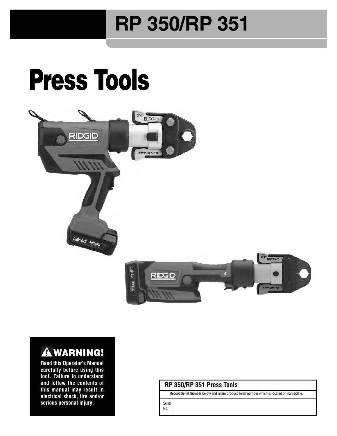# **RP 350/RP 351**

# **Press Tools**



# **WARNING!**

**Read this Operator's Manual carefully before using this tool. Failure to understand and follow the contents of this manual may result in electrical shock, fire and/or serious personal injury.**

# **RP 350/RP 351 Press Tools**

Record Serial Number below and retain product serial number which is located on nameplate.

Serial No.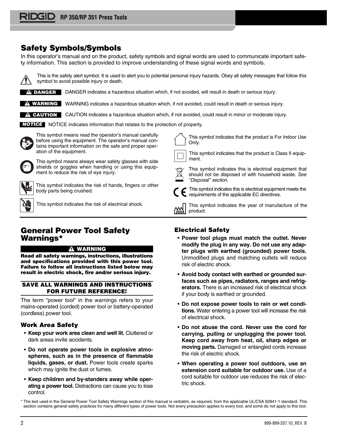# **Safety Symbols/Symbols**

In this operator's manual and on the product, safety symbols and signal words are used to communicate important safety information. This section is provided to improve understanding of these signal words and symbols.



This is the safety alert symbol. It is used to alert you to potential personal injury hazards. Obey all safety messages that follow this symbol to avoid possible injury or death.

**DANGER** DANGER indicates a hazardous situation which, if not avoided, will result in death or serious injury.

WARNING indicates a hazardous situation which, if not avoided, could result in death or serious injury. **WARNING**

CAUTION indicates a hazardous situation which, if not avoided, could result in minor or moderate injury. **CAUTION**

NOTICE indicates information that relates to the protection of property. *NOTICE*



This symbol means read the operator's manual carefully before using the equipment. The operator's manual contains important information on the safe and proper operation of the equipment.



This symbol means always wear safety glasses with side shields or goggles when handling or using this equipment to reduce the risk of eye injury.



This symbol indicates the risk of hands, fingers or other body parts being crushed.



This symbol indicates the risk of electrical shock.

# **General Power Tool Safety Warnings\***

#### **WARNING**

**Read all safety warnings, instructions, illustrations and specifications provided with this power tool. Failure to follow all instructions listed below may result in electric shock, fire and/or serious injury.**

#### **SAVE ALL WARNINGS AND INSTRUCTIONS FOR FUTURE REFERENCE!**

The term "power tool" in the warnings refers to your mains-operated (corded) power tool or battery-operated (cordless) power tool.

#### **Work Area Safety**

- **Keep your work area clean and well lit.** Cluttered or dark areas invite accidents.
- **Do not operate power tools in explosive atmo**spheres, such as in the presence of flammable **liquids, gases, or dust.** Power tools create sparks which may ignite the dust or fumes.
- **Keep children and by-standers away while operating a power tool.** Distractions can cause you to lose control.

## **Electrical Safety**

*"Disposal" section.*

product.

Only.

ment.

• **Power tool plugs must match the outlet. Never** modify the plug in any way. Do not use any adap**ter plugs with earthed (grounded) power tools.** Un modified plugs and matching outlets will reduce risk of electric shock.

This symbol indicates that the product is For Indoor Use

This symbol indicates that the product is Class II equip-

This symbol indicates this is electrical equipment that should not be disposed of with household waste. *See*

This symbol indicates the year of manufacture of the

This symbol indicates this is electrical equipment meets the

requirements of the applicable EC directives.

- **Avoid body contact with earthed or grounded surfaces such as pipes, radiators, ranges and refrigerators.** There is an increased risk of electrical shock if your body is earthed or grounded.
- **Do not expose power tools to rain or wet conditions.** Water entering a power tool will increase the risk of electrical shock.
- **Do not abuse the cord. Never use the cord for carrying, pulling or unplugging the power tool. Keep cord away from heat, oil, sharp edges or moving parts.** Damaged or entangled cords increase the risk of electric shock.
- **When operating a power tool outdoors, use an extension cord suitable for outdoor use.** Use of a cord suitable for outdoor use reduces the risk of electric shock.

\* The text used in the General Power Tool Safety Warnings section of this manual is verbatim, as required, from the applicable UL/CSA 62841-1 standard. This section contains general safety practices for many different types of power tools. Not every precaution applies to every tool, and some do not apply to this tool.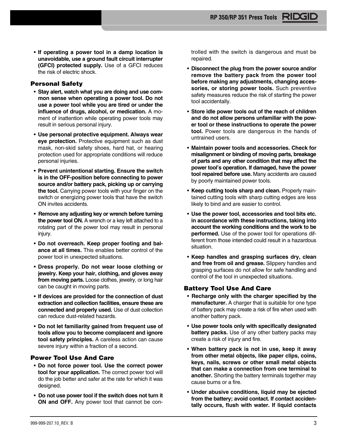• **If operating a power tool in a damp location is unavoidable, use a ground fault circuit interrupter (GFCI) protected supply.** Use of a GFCI reduces the risk of electric shock.

#### **Personal Safety**

- **Stay alert, watch what you are doing and use common sense when operating a power tool. Do not use a power tool while you are tired or under the** influence of drugs, alcohol, or medication. A moment of inattention while operating power tools may result in serious personal injury.
- **Use personal protective equipment. Always wear eye protection.** Protective equipment such as dust mask, non-skid safety shoes, hard hat, or hearing protection used for appropriate conditions will reduce personal injuries.
- **Prevent unintentional starting. Ensure the switch is in the OFF-position before connecting to power source and/or battery pack, picking up or carrying the tool.** Carrying power tools with your finger on the switch or energizing power tools that have the switch ON invites accidents.
- **Remove any adjusting key or wrench before turning the power tool ON.** A wrench or a key left attached to a rotating part of the power tool may result in personal injury.
- **Do not overreach. Keep proper footing and balance at all times.** This enables better control of the power tool in unexpected situations.
- **Dress properly. Do not wear loose clothing or** jewelry. Keep your hair, clothing, and gloves away **from moving parts.** Loose clothes, jewelry, or long hair can be caught in moving parts.
- **If devices are provided for the connection of dust extraction and collection facilities, ensure these are connected and properly used.** Use of dust collection can reduce dust-related hazards.
- **Do not let familiarity gained from frequent use of tools allow you to become complacent and ignore tool safety principles.** A careless action can cause severe injury within a fraction of a second.

#### **Power Tool Use And Care**

- **Do not force power tool. Use the correct power tool for your application.** The correct power tool will do the job better and safer at the rate for which it was designed.
- **Do not use power tool if the switch does not turn it ON and OFF.** Any power tool that cannot be con-

trolled with the switch is dangerous and must be repaired.

- **Disconnect the plug from the power source and/or remove the battery pack from the power tool before making any adjustments, changing accessories, or storing power tools.** Such preventive safety measures reduce the risk of starting the power tool accidentally.
- **Store idle power tools out of the reach of children** and do not allow persons unfamiliar with the pow**er tool or these instructions to operate the power tool.** Power tools are dangerous in the hands of untrained users.
- **Maintain power tools and accessories. Check for misalignment or binding of moving parts, breakage of parts and any other condition that may affect the** power tool's operation. If damaged, have the power **tool repaired before use.** Many accidents are caused by poorly maintained power tools.
- **Keep cutting tools sharp and clean.** Properly maintained cutting tools with sharp cutting edges are less likely to bind and are easier to control.
- **Use the power tool, accessories and tool bits etc. in accordance with these instructions, taking into account the working conditions and the work to be performed.** Use of the power tool for operations different from those intended could result in a hazardous situation.
- **Keep handles and grasping surfaces dry, clean and free from oil and grease.** Slippery handles and grasping surfaces do not allow for safe handling and control of the tool in unexpected situations.

#### **Battery Tool Use And Care**

- **Recharge only with the charger specified by the manufacturer.** A charger that is suitable for one type of battery pack may create a risk of fire when used with another battery pack.
- **Use power tools only with specifically designated battery packs.** Use of any other battery packs may create a risk of injury and fire.
- **When battery pack is not in use, keep it away from other metal objects, like paper clips, coins, keys, nails, screws or other small metal objects that can make a connection from one terminal to another.** Shorting the battery terminals together may cause burns or a fire.
- **Under abusive conditions, liquid may be ejected from the battery; avoid contact. If contact acciden tally occurs, flush with water. If liquid contacts**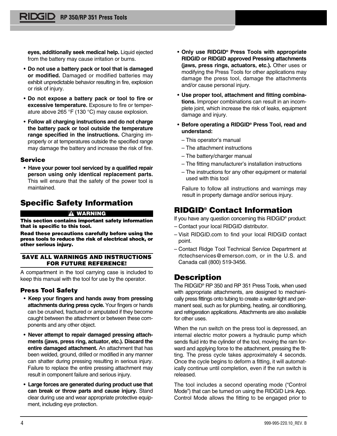**eyes, additionally seek medical help.** Liquid ejected from the battery may cause irritation or burns.

- **Do not use a battery pack or tool that is damaged or modified.** Damaged or modified batteries may exhibit unpredictable behavior resulting in fire, explosion or risk of injury.
- **Do not expose a battery pack or tool to fire or excessive temperature.** Exposure to fire or temperature above 265 °F (130 °C) may cause explosion.
- **Follow all charging instructions and do not charge the battery pack or tool outside the temperature range specified in the instructions.** Charging im properly or at temperatures outside the specified range may damage the battery and increase the risk of fire.

#### **Service**

• **Have your power tool serviced by a qualified repair person using only identical replacement parts.** This will ensure that the safety of the power tool is maintained.

# **Specific Safety Information**

#### **WARNING**

**This section contains important safety information that is specific to this tool.**

**Read these precautions carefully before using the press tools to reduce the risk of electrical shock, or other serious injury.**

#### **SAVE ALL WARNINGS AND INSTRUCTIONS FOR FUTURE REFERENCE!**

A compartment in the tool carrying case is included to keep this manual with the tool for use by the operator.

#### **Press Tool Safety**

- **Keep your fingers and hands away from pressing attachments during press cycle.** Your fingers or hands can be crushed, fractured or amputated if they become caught between the attachment or between these components and any other object.
- **Never attempt to repair damaged pressing attachments (jaws, press ring, actuator, etc.). Discard the entire damaged attachment.** An attachment that has been welded, ground, drilled or modified in any manner can shatter during pressing resulting in serious injury. Failure to replace the entire pressing attachment may result in component failure and serious injury.
- **Large forces are generated during product use that can break or throw parts and cause injury.** Stand clear during use and wear appropriate protective equipment, including eye protection.
- **Only use RIDGID® Press Tools with appropriate RIDGID or RIDGID approved Pressing attachments (jaws, press rings, actuators, etc.).** Other uses or modifying the Press Tools for other applications may damage the press tool, damage the attachments and/or cause personal injury.
- **Use proper tool, attachment and fitting combinations.** Improper combinations can result in an incomplete joint, which increase the risk of leaks, equipment damage and injury.
- **Before operating a RIDGID® Press Tool, read and understand:**
	- This operator's manual
	- The attachment instructions
	- The battery/charger manual
	- The fitting manufacturer's installation instructions
	- The instructions for any other equipment or material used with this tool

Failure to follow all instructions and warnings may result in property damage and/or serious injury.

# **RIDGID® Contact Information**

- If you have any question concerning this RIDGID® product:
- Contact your local RIDGID distributor.
- Visit RIDGID.com to find your local RIDGID contact point.
- Contact Ridge Tool Technical Service Department at rtctechservices@emerson.com, or in the U.S. and Canada call (800) 519-3456.

# **Description**

The RIDGID® RP 350 and RP 351 Press Tools, when used with appropriate attachments, are designed to mechanically press fittings onto tubing to create a water-tight and permanent seal, such as for plumbing, heating, air conditioning, and refrigeration applications. Attachments are also available for other uses.

When the run switch on the press tool is depressed, an internal electric motor powers a hydraulic pump which sends fluid into the cylinder of the tool, moving the ram forward and applying force to the attachment, pressing the fitting. The press cycle takes approximately 4 seconds. Once the cycle begins to deform a fitting, it will automatically continue until completion, even if the run switch is released.

The tool includes a second operating mode ("Control Mode") that can be turned on using the RIDGID Link App. Control Mode allows the fitting to be engaged prior to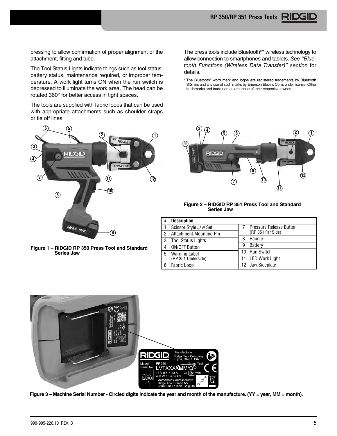pressing to allow confirmation of proper alignment of the attachment, fitting and tube.

The Tool Status Lights indicate things such as tool status, battery status, maintenance required, or improper temperature. A work light turns ON when the run switch is depressed to illuminate the work area. The head can be rotated 360° for better access in tight spaces.

The tools are supplied with fabric loops that can be used with appropriate attachments such as shoulder straps or tie off lines.



**Figure 1 – RIDGID RP 350 Press Tool and Standard Series Jaw**

The press tools include Bluetooth® \* wireless technology to allow connection to smartphones and tablets. *See "Blue tooth Functions (Wireless Data Transfer)" section* for details.

\* The Bluetooth® word mark and logos are registered trademarks by Bluetooth SIG, inc and any use of such marks by Emerson Electric Co. is under license. Other trademarks and trade names are those of their respective owners.



#### **Figure 2 – RIDGID RP 351 Press Tool and Standard Series Jaw**

| #              | <b>Description</b>                  |    |                                |
|----------------|-------------------------------------|----|--------------------------------|
|                | Scissor Style Jaw Set               |    | <b>Pressure Release Button</b> |
| $\overline{2}$ | <b>Attachment Mounting Pin</b>      |    | (RP 351 Far Side)              |
| 3              | <b>Tool Status Lights</b>           | 8  | Handle                         |
| 4              | <b>ON/OFF Button</b>                | 9  | Battery                        |
| 5              |                                     | 10 | <b>Run Switch</b>              |
|                | Warning Label<br>(RP 351 Underside) |    | 11 LED Work Light              |
| 6              | Fabric Loop                         |    | 12 Jaw Sideplate               |



Figure 3 – Machine Serial Number - Circled digits indicate the year and month of the manufacture. (YY = year, MM = month).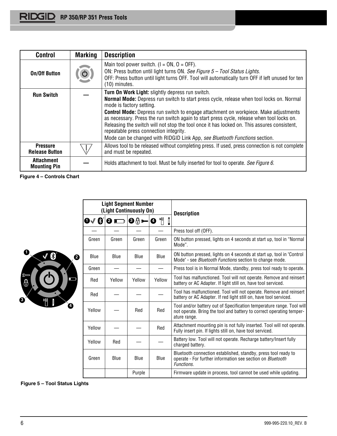| <b>Control</b>                           | <b>Marking</b> | <b>Description</b>                                                                                                                                                                                                                                                                                                                                                                                                                                                                                                                                                                                  |
|------------------------------------------|----------------|-----------------------------------------------------------------------------------------------------------------------------------------------------------------------------------------------------------------------------------------------------------------------------------------------------------------------------------------------------------------------------------------------------------------------------------------------------------------------------------------------------------------------------------------------------------------------------------------------------|
| <b>On/Off Button</b>                     |                | Main tool power switch. $(I = ON, O = OFF)$ .<br>ON: Press button until light turns ON. See Figure 5 - Tool Status Lights.<br>OFF: Press button until light turns OFF. Tool will automatically turn OFF if left unused for ten<br>$(10)$ minutes.                                                                                                                                                                                                                                                                                                                                                   |
| <b>Run Switch</b>                        |                | Turn On Work Light: slightly depress run switch.<br><b>Normal Mode:</b> Depress run switch to start press cycle, release when tool locks on. Normal<br>mode is factory setting.<br><b>Control Mode:</b> Depress run switch to engage attachment on workpiece. Make adjustments<br>as necessary. Press the run switch again to start press cycle, release when tool locks on.<br>Releasing the switch will not stop the tool once it has locked on. This assures consistent,<br>repeatable press connection integrity.<br>Mode can be changed with RIDGID Link App, see Bluetooth Functions section. |
| <b>Pressure</b><br><b>Release Button</b> |                | Allows tool to be released without completing press. If used, press connection is not complete<br>and must be repeated.                                                                                                                                                                                                                                                                                                                                                                                                                                                                             |
| Attachment<br><b>Mounting Pin</b>        |                | Holds attachment to tool. Must be fully inserted for tool to operate. See Figure 6.                                                                                                                                                                                                                                                                                                                                                                                                                                                                                                                 |

**Figure 4 – Controls Chart**

| <b>Light Segment Number</b><br>(Light Continuously On) |                                                                                                                                                      |        | <b>Description</b> |                                                                                                                                                               |
|--------------------------------------------------------|------------------------------------------------------------------------------------------------------------------------------------------------------|--------|--------------------|---------------------------------------------------------------------------------------------------------------------------------------------------------------|
|                                                        | $\mathbf{0} \vee \mathbf{0}$   $\mathbf{0}$   $\mathbf{0}$   $\mathbf{0}$   $\mathbf{0}$   $\mathbf{0}$   $\mathbf{0}$   $\mathbf{0}$   $\mathbf{0}$ |        | 뻬<br>❹             |                                                                                                                                                               |
|                                                        |                                                                                                                                                      |        |                    | Press tool off (OFF).                                                                                                                                         |
| Green                                                  | Green                                                                                                                                                | Green  | Green              | ON button pressed, lights on 4 seconds at start up, tool in "Normal<br>Mode".                                                                                 |
| Blue                                                   | Blue                                                                                                                                                 | Blue   | Blue               | ON button pressed, lights on 4 seconds at start up, tool in "Control"<br>Mode" - see <i>Bluetooth Functions</i> section to change mode.                       |
| Green                                                  |                                                                                                                                                      |        |                    | Press tool is in Normal Mode, standby, press tool ready to operate.                                                                                           |
| Red                                                    | Yellow                                                                                                                                               | Yellow | Yellow             | Tool has malfunctioned. Tool will not operate. Remove and reinsert<br>battery or AC Adapter. If light still on, have tool serviced.                           |
| Red                                                    |                                                                                                                                                      |        |                    | Tool has malfunctioned. Tool will not operate. Remove and reinsert<br>battery or AC Adapter. If red light still on, have tool serviced.                       |
| Yellow                                                 |                                                                                                                                                      | Red    | Red                | Tool and/or battery out of Specification temperature range. Tool will<br>not operate. Bring the tool and battery to correct operating temper-<br>ature range. |
| Yellow                                                 |                                                                                                                                                      |        | Red                | Attachment mounting pin is not fully inserted. Tool will not operate.<br>Fully insert pin. If lights still on, have tool serviced.                            |
| Yellow                                                 | Red                                                                                                                                                  |        |                    | Battery low. Tool will not operate. Recharge battery/Insert fully<br>charged battery.                                                                         |
| Green                                                  | Blue                                                                                                                                                 | Blue   | Blue               | Bluetooth connection established, standby, press tool ready to<br>operate - For further information see section on Bluetooth<br>Functions.                    |
|                                                        |                                                                                                                                                      | Purple |                    | Firmware update in process, tool cannot be used while updating.                                                                                               |



**Figure 5 – Tool Status Lights**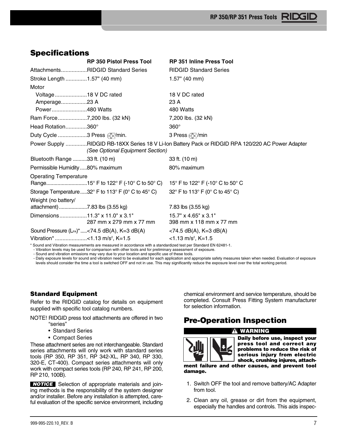**RP 350/RP 351 Press Tools**

# **Specifications**

|                                           | <b>RP 350 Pistol Press Tool</b>                                                                                | <b>RP 351 Inline Press Tool</b>                                                                    |
|-------------------------------------------|----------------------------------------------------------------------------------------------------------------|----------------------------------------------------------------------------------------------------|
|                                           | AttachmentsRIDGID Standard Series                                                                              | <b>RIDGID Standard Series</b>                                                                      |
| Stroke Length 1.57" (40 mm)               |                                                                                                                | $1.57$ " (40 mm)                                                                                   |
| Motor                                     |                                                                                                                |                                                                                                    |
| Voltage18 V DC rated                      |                                                                                                                | 18 V DC rated                                                                                      |
| Amperage23 A                              |                                                                                                                | 23 A                                                                                               |
| Power480 Watts                            |                                                                                                                | 480 Watts                                                                                          |
| Ram Force7,200 lbs. (32 kN)               |                                                                                                                | 7,200 lbs. (32 kN)                                                                                 |
| Head Rotation360°                         |                                                                                                                | $360^\circ$                                                                                        |
| Duty Cycle 3 Press @ min.                 |                                                                                                                | 3 Press @ /min                                                                                     |
|                                           | (See Optional Equipment Section)                                                                               | Power Supply RIDGID RB-18XX Series 18 V Li-Ion Battery Pack or RIDGID RPA 120/220 AC Power Adapter |
| Bluetooth Range 33 ft. (10 m)             |                                                                                                                | 33 ft. (10 m)                                                                                      |
| Permissible Humidity 80% maximum          |                                                                                                                | 80% maximum                                                                                        |
| <b>Operating Temperature</b>              |                                                                                                                |                                                                                                    |
|                                           | Range15° F to 122° F (-10° C to 50° C) 15° F to 122° F (-10° C to 50° C                                        |                                                                                                    |
|                                           | Storage Temperature32 $\degree$ F to 113 $\degree$ F (0 $\degree$ C to 45 $\degree$ C)                         | 32° F to 113° F (0° C to 45° C)                                                                    |
| Weight (no battery/                       |                                                                                                                |                                                                                                    |
| attachment) 7.83 lbs (3.55 kg)            |                                                                                                                | 7.83 lbs (3.55 kg)                                                                                 |
| Dimensions11.3" x 11.0" x 3.1"            |                                                                                                                | $15.7" \times 4.65" \times 3.1"$                                                                   |
|                                           | 287 mm x 279 mm x 77 mm                                                                                        | 398 mm x 118 mm x 77 mm                                                                            |
|                                           | Sound Pressure $(L_{PA})$ <sup>*</sup> <74.5 dB(A), K=3 dB(A)                                                  | $<$ 74.5 dB(A), K=3 dB(A)                                                                          |
| Vibration* <1.13 m/s <sup>2</sup> , K=1.5 |                                                                                                                | $<$ 1.13 m/s <sup>2</sup> , K=1.5                                                                  |
|                                           | * Sound and Vibration measurements are measured in accordance with a standardized test per Standard EN 62481-1 |                                                                                                    |

\* Sound and Vibration measurements are measured in accordance with a standardized test per Standard EN 62481-1. - Vibration levels may be used for comparison with other tools and for preliminary assessment of exposure.

- Sound and vibration emissions may vary due to your location and specific use of these tools.

- Daily exposure levels for sound and vibration need to be evaluated for each application and appropriate safety measures taken when needed. Evaluation of exposure levels should consider the time a tool is switched OFF and not in use. This may significantly reduce the exposure level over the total working period.

## **Standard Equipment**

Refer to the RIDGID catalog for details on equipment supplied with specific tool catalog numbers.

- NOTE! RIDGID press tool attachments are offered in two "series"
	- Standard Series
	- Compact Series

These attachment series are not interchangeable. Standard series attachments will only work with standard series tools (RP 350, RP 351, RP 342-XL, RP 340, RP 330, 320-E, CT-400). Compact series attachments will only work with compact series tools (RP 240, RP 241, RP 200, RP 210, 100B).

**NOTICE** Selection of appropriate materials and joining methods is the responsibility of the system designer and/or installer. Before any installation is attempted, careful evaluation of the specific service environment, including chemical environment and service temperature, should be completed. Consult Press Fitting System manufacturer for selection information.

# **Pre-Operation Inspection**

#### **WARNING**



**Daily before use, inspect your press tool and cor rect any problems to reduce the risk of serious in jury from electric shock, crushing injures, attach-**

**ment failure and other causes, and prevent tool damage.**

- 1. Switch OFF the tool and remove battery/AC Adapter from tool.
- 2. Clean any oil, grease or dirt from the equipment, especially the handles and controls. This aids inspec-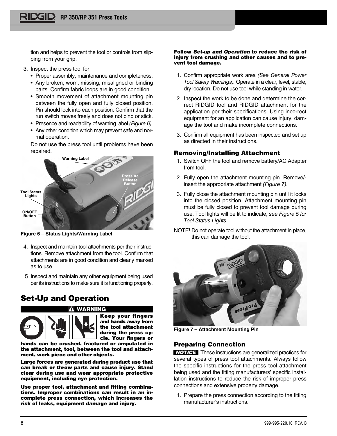tion and helps to prevent the tool or controls from slipping from your grip.

- 3. Inspect the press tool for:
	- Proper assembly, maintenance and completeness.
	- Any broken, worn, missing, misaligned or binding parts. Confirm fabric loops are in good condition.
	- Smooth movement of attachment mounting pin between the fully open and fully closed position. Pin should lock into each position. Confirm that the run switch moves freely and does not bind or stick.
	- Presence and readability of warning label *(Figure 6)*.
	- Any other condition which may prevent safe and normal operation.

Do not use the press tool until problems have been repaired.



**Figure 6 – Status Lights/Warning Label** 

- 4. Inspect and maintain tool attachments per their instructions. Remove attachment from the tool. Confirm that attachments are in good condition and clearly marked as to use.
- 5 Inspect and maintain any other equipment being used per its instructions to make sure it is functioning properly.

# **Set-Up and Operation**

#### **WARNING**



**Keep your fingers and hands away from the tool attachment during the press cycle. Your fingers or**

**hands can be crushed, fractured or amputated in the attachment, tool, between the tool and attachment, work piece and other objects.**

**Large forces are generated during product use that can break or throw parts and cause injury. Stand clear during use and wear appropriate protective equipment, including eye protection.**

**Use proper tool, attachment and fitting combinations. Improper combinations can result in an in complete press connection, which increases the risk of leaks, equipment damage and injury.**

#### **Follow** *Set-up and Operation* **to reduce the risk of injury from crushing and other causes and to prevent tool damage.**

- 1. Confirm appropriate work area *(See General Power* Tool Safety Warnings). Operate in a clear, level, stable, dry location. Do not use tool while standing in water.
- 2. Inspect the work to be done and determine the correct RIDGID tool and RIDGID attachment for the application per their specifications. Using incorrect equipment for an application can cause injury, damage the tool and make incomplete connections.
- 3. Confirm all equipment has been inspected and set up as directed in their instructions.

#### **Removing/Installing Attachment**

- 1. Switch OFF the tool and remove battery/AC Adapter from tool.
- 2. Fully open the attachment mounting pin. Remove/ insert the appropriate attachment *(Figure 7)*.
- 3. Fully close the attachment mounting pin until it locks into the closed position. Attachment mounting pin must be fully closed to prevent tool damage during use. Tool lights will be lit to indicate, *see Figure 5 for Tool Status Lights*.
- NOTE! Do not operate tool without the attachment in place, this can damage the tool.



**Figure 7 – Attachment Mounting Pin** 

#### **Preparing Connection**

**NOTICE** These instructions are generalized practices for several types of press tool attachments. Always follow the specific instructions for the press tool attachment being used and the fitting manufacturers' specific installation instructions to reduce the risk of improper press connections and extensive property damage.

1. Prepare the press connection according to the fitting manufacturer's instructions.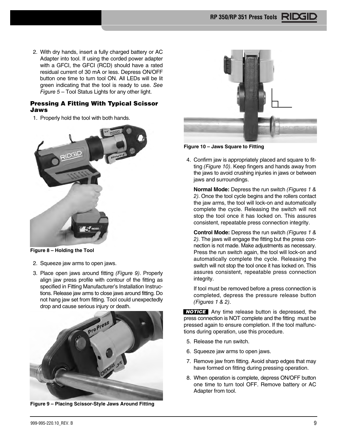2. With dry hands, insert a fully charged battery or AC Adapter into tool. If using the corded power adapter with a GFCI, the GFCI (RCD) should have a rated residual current of 30 mA or less. Depress ON/OFF button one time to turn tool ON. All LEDs will be lit green indicating that the tool is ready to use. *See Figure 5* – Tool Status Lights for any other light.

#### **Pressing A Fitting With Typical Scissor Jaws**

1. Properly hold the tool with both hands.



**Figure 8 – Holding the Tool** 

- 2. Squeeze jaw arms to open jaws.
- 3. Place open jaws around fitting *(Figure 9)*. Properly align jaw press profile with contour of the fitting as specified in Fitting Manufacturer's Installation Instructions. Release jaw arms to close jaws around fitting. Do not hang jaw set from fitting. Tool could unexpectedly drop and cause serious injury or death.



**Figure 9 – Placing Scissor-Style Jaws Around Fitting**



**Figure 10 – Jaws Square to Fitting** 

4. Confirm jaw is appropriately placed and square to fitting *(Figure 10)*. Keep fingers and hands away from the jaws to avoid crushing injuries in jaws or between jaws and surroundings.

**Normal Mode:** Depress the run switch *(Figures 1 & 2)*. Once the tool cycle begins and the rollers contact the jaw arms, the tool will lock-on and automatically complete the cycle. Releasing the switch will not stop the tool once it has locked on. This assures consistent, repeatable press connection integrity.

**Control Mode:** Depress the run switch *(Figures 1 & 2)*. The jaws will engage the fitting but the press connection is not made. Make adjustments as necessary. Press the run switch again, the tool will lock-on and automatically complete the cycle. Releasing the switch will not stop the tool once it has locked on. This assures consistent, repeatable press connection integrity.

If tool must be removed before a press connection is completed, depress the pressure release button *(Figures 1 & 2)*.

**NOTICE** Any time release button is depressed, the press connection is NOT complete and the fitting must be pressed again to ensure completion. If the tool malfunctions during operation, use this procedure.

- 5. Release the run switch.
- 6. Squeeze jaw arms to open jaws.
- 7. Remove jaw from fitting. Avoid sharp edges that may have formed on fitting during pressing operation.
- 8. When operation is complete, depress ON/OFF button one time to turn tool OFF. Remove battery or AC Adapter from tool.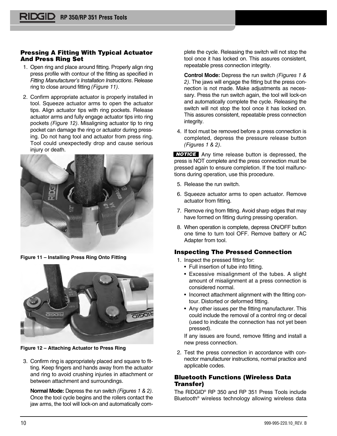#### **Pressing A Fitting With Typical Actuator And Press Ring Set**

- 1. Open ring and place around fitting. Properly align ring press profile with contour of the fitting as specified in *Fitting Manufacturer's Installation Instructions*. Release ring to close around fitting *(Figure 11)*.
- 2. Confirm appropriate actuator is properly installed in tool. Squeeze actuator arms to open the actuator tips. Align actuator tips with ring pockets. Release actuator arms and fully engage actuator tips into ring pockets (Figure 12). Misaligning actuator tip to ring pocket can damage the ring or actuator during pressing. Do not hang tool and actuator from press ring. Tool could unexpectedly drop and cause serious injury or death.



**Figure 11 – Installing Press Ring Onto Fitting**



**Figure 12 – Attaching Actuator to Press Ring**

3. Confirm ring is appropriately placed and square to fitting. Keep fingers and hands away from the actuator and ring to avoid crushing injuries in attachment or between attachment and surroundings.

**Normal Mode:** Depress the run switch *(Figures 1 & 2)*. Once the tool cycle begins and the rollers contact the jaw arms, the tool will lock-on and automatically complete the cycle. Releasing the switch will not stop the tool once it has locked on. This assures consistent, repeatable press connection integrity.

**Control Mode:** Depress the run switch *(Figures 1 & 2)*. The jaws will engage the fitting but the press connection is not made. Make adjustments as necessary. Press the run switch again, the tool will lock-on and automatically complete the cycle. Releasing the switch will not stop the tool once it has locked on. This assures consistent, repeatable press connection integrity.

4. If tool must be removed before a press connection is completed, depress the pressure release button *(Figures 1 & 2)*.

**NOTICE** Any time release button is depressed, the press is NOT complete and the press connection must be pressed again to ensure completion. If the tool malfunctions during operation, use this procedure.

- 5. Release the run switch.
- 6. Squeeze actuator arms to open actuator. Remove actuator from fitting.
- 7. Remove ring from fitting. Avoid sharp edges that may have formed on fitting during pressing operation.
- 8. When operation is complete, depress ON/OFF button one time to turn tool OFF. Remove battery or AC Adapter from tool.

## **Inspecting The Pressed Connection**

- 1. Inspect the pressed fitting for:
	- Full insertion of tube into fitting.
	- Excessive misalignment of the tubes. A slight amount of misalignment at a press connection is considered normal.
	- Incorrect attachment alignment with the fitting contour. Distorted or deformed fitting.
	- Any other issues per the fitting manufacturer. This could include the removal of a control ring or decal (used to indicate the connection has not yet been pressed).

If any issues are found, remove fitting and install a new press connection.

2. Test the press connection in accordance with connector manufacturer instructions, normal practice and applicable codes.

#### **Bluetooth Functions (Wireless Data Transfer)**

The RIDGID® RP 350 and RP 351 Press Tools include Bluetooth® wireless technology allowing wireless data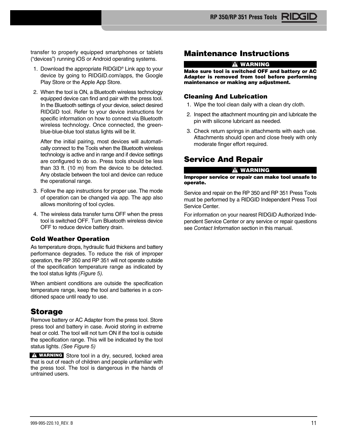transfer to properly equipped smartphones or tablets ("devices") running iOS or Android operating systems.

- 1. Download the appropriate RIDGID® Link app to your device by going to RIDGID.com/apps, the Google Play Store or the Apple App Store.
- 2. When the tool is ON, a Bluetooth wireless technology equipped device can find and pair with the press tool. In the Bluetooth settings of your device, select desired RIDGID tool. Refer to your device instructions for specific information on how to connect via Bluetooth wireless technology. Once connected, the greenblue-blue-blue tool status lights will be lit.

After the initial pairing, most devices will automatically connect to the Tools when the Bluetooth wireless technology is active and in range and if device settings are configured to do so. Press tools should be less than 33 ft. (10 m) from the device to be detected. Any obstacle between the tool and device can reduce the operational range.

- 3. Follow the app instructions for proper use. The mode of operation can be changed via app. The app also allows monitoring of tool cycles.
- 4. The wireless data transfer turns OFF when the press tool is switched OFF. Turn Bluetooth wireless device OFF to reduce device battery drain.

## **Cold Weather Operation**

As temperature drops, hydraulic fluid thickens and battery performance degrades. To reduce the risk of improper operation, the RP 350 and RP 351 will not operate outside of the specification temperature range as indicated by the tool status lights *(Figure 5).*

When ambient conditions are outside the specification temperature range, keep the tool and batteries in a conditioned space until ready to use.

# **Storage**

Remove battery or AC Adapter from the press tool. Store press tool and battery in case. Avoid storing in extreme heat or cold. The tool will not turn ON if the tool is outside the specification range. This will be indicated by the tool status lights. *(See Figure 5)*

WARNING Store tool in a dry, secured, locked area that is out of reach of children and people unfamiliar with the press tool. The tool is dangerous in the hands of untrained users.

# **Maintenance Instructions**

#### **WARNING**

**Make sure tool is switched OFF and battery or AC Adapter is removed from tool before performing maintenance or making any adjustment.**

# **Cleaning And Lubrication**

- 1. Wipe the tool clean daily with a clean dry cloth.
- 2. Inspect the attachment mounting pin and lubricate the pin with silicone lubricant as needed.
- 3. Check return springs in attachments with each use. Attachments should open and close freely with only moderate finger effort required.

# **Service And Repair**

#### **WARNING**

**Improper service or repair can make tool unsafe to operate.**

Service and repair on the RP 350 and RP 351 Press Tools must be performed by a RIDGID Independent Press Tool Service Center.

For information on your nearest RIDGID Authorized Independent Service Center or any service or repair questions see *Contact Information* section in this manual.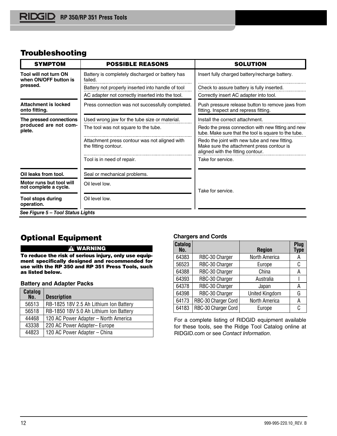# **Troubleshooting**

| <b>SYMPTOM</b>                                        | <b>POSSIBLE REASONS</b>                                               | <b>SOLUTION</b>                                                                                                                 |  |  |
|-------------------------------------------------------|-----------------------------------------------------------------------|---------------------------------------------------------------------------------------------------------------------------------|--|--|
| <b>Tool will not turn ON</b><br>when ON/OFF button is | Battery is completely discharged or battery has<br>failed.            | Insert fully charged battery/recharge battery.                                                                                  |  |  |
| pressed.                                              | Battery not properly inserted into handle of tool                     | Check to assure battery is fully inserted.                                                                                      |  |  |
|                                                       | AC adapter not correctly inserted into the tool.                      | Correctly insert AC adapter into tool.                                                                                          |  |  |
| <b>Attachment is locked</b><br>onto fitting.          | Press connection was not successfully completed.                      | Push pressure release button to remove jaws from<br>fitting. Inspect and repress fitting.                                       |  |  |
| The pressed connections                               | Used wrong jaw for the tube size or material.                         | Install the correct attachment.                                                                                                 |  |  |
| produced are not com-<br>plete.                       | The tool was not square to the tube.                                  | Redo the press connection with new fitting and new<br>tube. Make sure that the tool is square to the tube.                      |  |  |
|                                                       | Attachment press contour was not aligned with<br>the fitting contour. | Redo the joint with new tube and new fitting.<br>Make sure the attachment press contour is<br>aligned with the fitting contour. |  |  |
|                                                       | Tool is in need of repair.                                            | Take for service.                                                                                                               |  |  |
| Oil leaks from tool.                                  | Seal or mechanical problems.                                          |                                                                                                                                 |  |  |
| Motor runs but tool will<br>not complete a cycle.     | Oil level low.                                                        | Take for service.                                                                                                               |  |  |
| <b>Tool stops during</b><br>operation.                | Oil level low.                                                        |                                                                                                                                 |  |  |
| See Figure 5 - Tool Status Lights                     |                                                                       |                                                                                                                                 |  |  |

# **Optional Equipment**

#### **WARNING**

**To reduce the risk of serious injury, only use equipment specifically designed and recommended for use with the RP 350 and RP 351 Press Tools, such as listed below.**

#### **Battery and Adapter Packs**

| Catalog<br>No. | <b>Description</b>                     |
|----------------|----------------------------------------|
| 56513          | RB-1825 18V 2.5 Ah Lithium Ion Battery |
| 56518          | RB-1850 18V 5.0 Ah Lithium Ion Battery |
| 44468          | 120 AC Power Adapter - North America   |
| 43338          | 220 AC Power Adapter-Europe            |
| 44823          | 120 AC Power Adapter - China           |

#### **Chargers and Cords**

| Catalog<br>No. |                     | <b>Region</b>         | Plug<br><b>Type</b> |
|----------------|---------------------|-----------------------|---------------------|
| 64383          | RBC-30 Charger      | North America         | Α                   |
| 56523          | RBC-30 Charger      | Europe                | C                   |
| 64388          | RBC-30 Charger      | China                 | А                   |
| 64393          | RBC-30 Charger      | Australia             |                     |
| 64378          | RBC-30 Charger      | Japan                 | А                   |
| 64398          | RBC-30 Charger      | <b>United Kingdom</b> | G                   |
| 64173          | RBC-30 Charger Cord | North America         | А                   |
| 64183          | RBC-30 Charger Cord | Europe                | C                   |
|                |                     |                       |                     |

For a complete listing of RIDGID equipment available for these tools, see the Ridge Tool Catalog online at RIDGID.com or see *Contact Information*.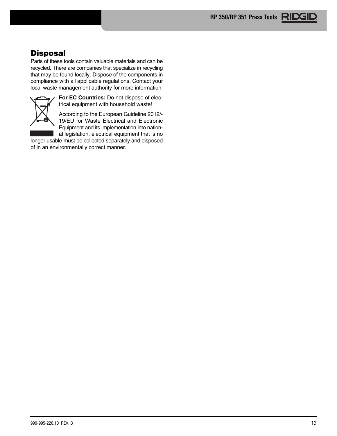**RP 350/RP 351 Press Tools**

# **Disposal**

Parts of these tools contain valuable materials and can be recycled. There are companies that specialize in recycling that may be found locally. Dispose of the components in compliance with all applicable regulations. Contact your local waste management authority for more information.



**For EC Countries:** Do not dispose of electrical equipment with household waste!

According to the European Guideline 2012/-19/EU for Waste Electrical and Electronic Equipment and its implementation into national legislation, electrical equipment that is no

longer usable must be collected separately and disposed of in an environmentally correct manner.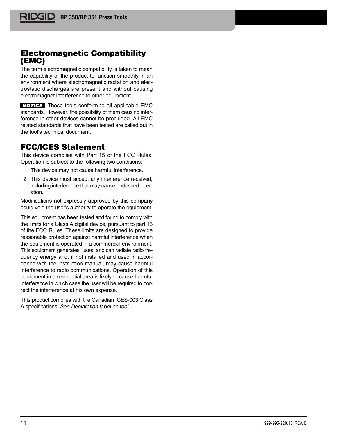# **Electromagnetic Compatibility (EMC)**

The term electromagnetic compatibility is taken to mean the capability of the product to function smoothly in an environment where electromagnetic radiation and electrostatic discharges are present and without causing electromagnet interference to other equipment.

**NOTICE** These tools conform to all applicable EMC standards. However, the possibility of them causing interference in other devices cannot be precluded. All EMC related standards that have been tested are called out in the tool's technical document.

# **FCC/ICES Statement**

This device complies with Part 15 of the FCC Rules. Operation is subject to the following two conditions:

- 1. This device may not cause harmful interference.
- 2. This device must accept any interference received, including interference that may cause undesired operation.

Modifications not expressly approved by this company could void the user's authority to operate the equipment.

This equipment has been tested and found to comply with the limits for a Class A digital device, pursuant to part 15 of the FCC Rules. These limits are designed to provide reasonable protection against harmful interference when the equipment is operated in a commercial environment. This equipment generates, uses, and can radiate radio frequency energy and, if not installed and used in accordance with the instruction manual, may cause harmful interference to radio communications. Operation of this equipment in a residential area is likely to cause harmful interference in which case the user will be required to correct the interference at his own expense.

This product complies with the Canadian ICES-003 Class A specifications. *See Declaration label on tool.*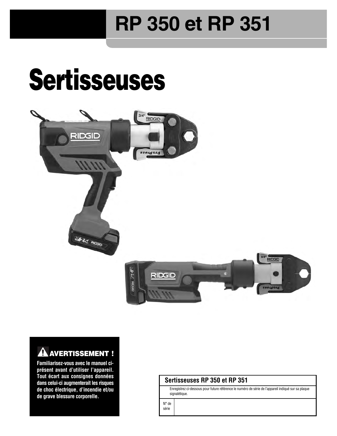# **RP 350 et RP 351**

# **Sertisseuses**





**Familiarisez-vous avec le manuel ciprésent avant d'utiliser l'appareil. Tout écart aux consignes données dans celui-ci augmenterait les risques de choc électrique, d'incendie et/ou de grave blessure corporelle.**

#### **Sertisseuses RP 350 et RP 351**

Enregistrez ci-dessous pour future référence le numéro de série de l'appareil indiqué sur sa plaque signalétique.

N° de série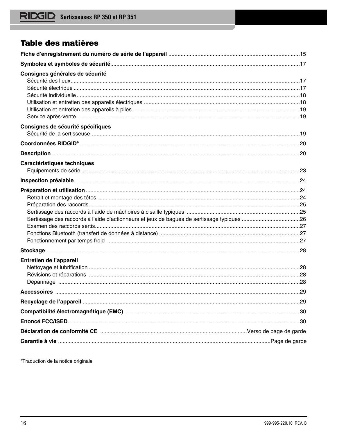# Table des matières

| Consignes générales de sécurité                                                                                            |  |
|----------------------------------------------------------------------------------------------------------------------------|--|
| Consignes de sécurité spécifiques                                                                                          |  |
|                                                                                                                            |  |
|                                                                                                                            |  |
| Caractéristiques techniques                                                                                                |  |
|                                                                                                                            |  |
|                                                                                                                            |  |
|                                                                                                                            |  |
| Entretien de l'appareil                                                                                                    |  |
|                                                                                                                            |  |
|                                                                                                                            |  |
| Compatibilité électromagnétique (EMC) manual continuament de la compatibilité électromagnétique (EMC) manual communication |  |
|                                                                                                                            |  |
|                                                                                                                            |  |
|                                                                                                                            |  |

\*Traduction de la notice originale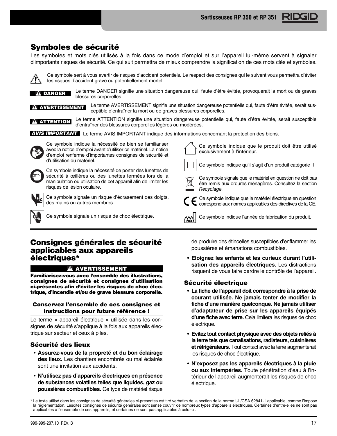# **Symboles de sécurité**

Les symboles et mots clés utilisés à la fois dans ce mode d'emploi et sur l'appareil lui-même servent à signaler d'importants risques de sécurité. Ce qui suit permettra de mieux comprendre la signification de ces mots clés et symboles.



Ce symbole sert à vous avertir de risques d'accident potentiels. Le respect des consignes qui le suivent vous permettra d'éviter les risques d'accident grave ou potentiellement mortel.



Le terme DANGER signifie une situation dangereuse qui, faute d'être évitée, provoquerait la mort ou de graves blessures corporelles.

Le terme AVERTISSEMENT signifie une situation dangereuse potentielle qui, faute d'être évitée, serait susceptible d'entraîner la mort ou de graves blessures corporelles. **AVERTISSEMENT**

Le terme ATTENTION signifie une situation dangereuse potentielle qui, faute d'être évitée, serait susceptible d'entraîner des blessures corporelles légères ou modérées. **A** ATTENTION

AVIS IMPORTANT Le terme AVIS IMPORTANT indique des informations concernant la protection des biens.



Ce symbole indique la nécessité de bien se familiariser avec la notice d'emploi avant d'utiliser ce matériel. La notice d'emploi renferme d'importantes consignes de sécurité et d'utilisation du matériel.



Ce symbole indique la nécessité de porter des lunettes de sécurité à œillères ou des lunettes fermées lors de la manipulation ou utilisation de cet appareil afin de limiter les risques de lésion oculaire.



Ce symbole signale un risque d'écrasement des doigts, des mains ou autres membres.



Ce symbole signale un risque de choc électrique.

# **Consignes générales de sécurité applicables aux appareils électriques\***

#### **AVERTISSEMENT**

**Familiarisez-vous avec l'ensemble des illustrations, consignes de sécurité et consignes d'utilisation ci-présentes afin d'éviter les risques de choc électrique, d'incendie et/ou de grave blessure corporelle.**

#### **Conservez l'ensemble de ces consignes et instructions pour future référence !**

Le terme « appareil électrique » utilisée dans les consignes de sécurité s'applique à la fois aux appareils électrique sur secteur et ceux à piles.

#### **Sécurité des lieux**

- **Assurez-vous de la propreté et du bon éclairage des lieux.** Les chantiers encombrés ou mal éclairés sont une invitation aux accidents.
- **N'utilisez pas d'appareils électriques en présence de substances volatiles telles que liquides, gaz ou poussières combustibles.** Ce type de matériel risque

de produire des étincelles susceptibles d'enflammer les poussières et émanations combustibles.

Ce symbole indique l'année de fabrication du produit.

Ce symbole indique que le produit doit être utilisé

Ce symbole indique qu'il s'agit d'un produit catégorie II

Ce symbole signale que le matériel en question ne doit pas être remis aux ordures ménagères. Consultez la section

Ce symbole indique que le matériel électrique en question correspond aux normes applicables des directives de la CE.

exclusivement à l'intérieur.

• **Eloignez les enfants et les curieux durant l'utilisation des appareils électriques.** Les distractions risquent de vous faire perdre le contrôle de l'appareil.

#### **Sécurité électrique**

*Recyclage.*

- **La fiche de l'appareil doit correspondre à la prise de courant utilisée. Ne jamais tenter de modifier la fiche d'une manière quelconque. Ne jamais utiliser d'adaptateur de prise sur les appareils équipés d'une fiche avec terre.** Cela limitera les risques de choc électrique.
- **Evitez tout contact physique avec des objets reliés à la terre tels que canalisations, radiateurs, cuisinières et réfrigérateurs.** Tout contact avec la terre augmenterait les risques de choc électrique.
- **N'exposez pas les appareils électriques à la pluie** ou aux intempéries. Toute pénétration d'eau à l'intérieur de l'appareil augmenterait les risques de choc électrique.

<sup>\*</sup> Le texte utilisé dans les consignes de sécurité générales ci-présentes est tiré verbatim de la section de la norme UL/CSA 62841-1 applicable, comme l'impose la réglementation. Lesdites consignes de sécurité générales sont sensé couvrir de nombreux types d'appareils électriques. Certaines d'entre-elles ne sont pas applicables à l'ensemble de ces appareils, et certaines ne sont pas applicables à celui-ci.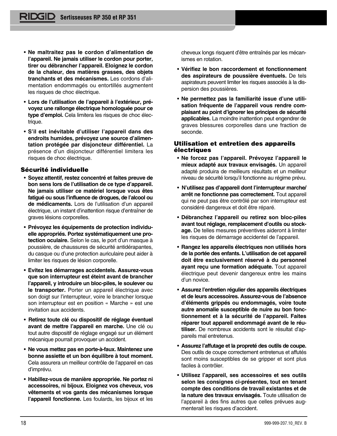- **Ne maltraitez pas le cordon d'alimentation de l'appareil. Ne jamais utiliser le cordon pour porter, tirer ou débrancher l'appareil. Eloignez le cordon de la chaleur, des matières grasses, des objets tranchants et des mécanismes.** Les cordons d'alimentation endommagés ou entortillés augmentent les risques de choc électrique.
- **Lors de l'utilisation de l'appareil à l'extérieur, prévoyez une rallonge électrique homologuée pour ce type d'emploi.** Cela limitera les risques de choc électrique.
- **S'il est inévitable d'utiliser l'appareil dans des endroits humides, prévoyez une source d'alimentation protégée par disjoncteur différentiel.** La présence d'un disjoncteur différentiel limitera les risques de choc électrique.

#### **Sécurité individuelle**

- **Soyez attentif, restez concentré et faites preuve de bon sens lors de l'utilisation de ce type d'appareil. Ne jamais utiliser ce matériel lorsque vous êtes fatigué ou sous l'influence de drogues, de l'alcool ou de médicaments.** Lors de l'utilisation d'un appareil électrique, un instant d'inattention risque d'entraîner de graves lésions corporelles.
- **Prévoyez les équipements de protection individuelle appropriés. Portez systématiquement une protection oculaire.** Selon le cas, le port d'un masque à poussière, de chaussures de sécurité antidérapantes, du casque ou d'une protection auriculaire peut aider à limiter les risques de lésion corporelle.
- **Evitez les démarrages accidentels. Assurez-vous que son interrupteur est éteint avant de brancher l'appareil, y introduire un bloc-piles, le soulever ou le transporter.** Porter un appareil électrique avec son doigt sur l'interrupteur, voire le brancher lorsque son interrupteur est en position « Marche » est une invitation aux accidents.
- **Retirez toute clé ou dispositif de réglage éventuel avant de mettre l'appareil en marche.** Une clé ou tout autre dispositif de réglage engagé sur un élément mécanique pourrait provoquer un accident.
- **Ne vous mettez pas en porte-à-faux. Maintenez une bonne assiette et un bon équilibre à tout moment.** Cela assurera un meilleur contrôle de l'appareil en cas d'imprévu.
- **Habillez-vous de manière appropriée. Ne portez ni accessoires, ni bijoux. Eloignez vos cheveux, vos vêtements et vos gants des mécanismes lorsque l'appareil fonctionne.** Les foulards, les bijoux et les

cheveux longs risquent d'être entraînés par les mécanismes en rotation.

- **Vérifiez le bon raccordement et fonctionnement des aspirateurs de poussière éventuels.** De tels aspirateurs peuvent limiter les risques associés à la dispersion des poussières.
- **Ne permettez pas la familiarité issue d'une utilisation fréquente de l'appareil vous rendre complaisant au point d'ignorer les principes de sécurité applicables.** La moindre inattention peut engendrer de graves blessures corporelles dans une fraction de seconde.

#### **Utilisation et entretien des appareils électriques**

- **Ne forcez pas l'appareil. Prévoyez l'appareil le mieux adapté aux travaux envisagés.** Un appareil adapté produira de meilleurs résultats et un meilleur niveau de sécurité lorsqu'il fonctionne au régime prévu.
- **N'utilisez pas d'appareil dont l'interrupteur marche/ arrêt ne fonctionne pas correctement.** Tout appareil qui ne peut pas être contrôlé par son interrupteur est considéré dangereux et doit être réparé.
- **Débranchez l'appareil ou retirez son bloc-piles avant tout réglage, remplacement d'outils ou stockage.** De telles mesures préventives aideront à limiter les risques de démarrage accidentel de l'appareil.
- **Rangez les appareils électriques non utilisés hors de la portée des enfants. L'utilisation de cet appareil doit être exclusivement réservé à du personnel ayant reçu une formation adéquate.** Tout appareil électrique peut devenir dangereux entre les mains d'un novice.
- **Assurez l'entretien régulier des appareils électriques et de leurs accessoires. Assurez-vous de l'absence d'éléments grippés ou endommagés, voire toute autre anomalie susceptible de nuire au bon fonctionnement et à la sécurité de l'appareil. Faites réparer tout appareil endommagé avant de le réutiliser.** De nombreux accidents sont le résultat d'appareils mal entretenus.
- **Assurez l'affutage et la propreté des outils de coupe.** Des outils de coupe correctement entretenus et affutés sont moins susceptibles de se gripper et sont plus faciles à contrôler.
- **Utilisez l'appareil, ses accessoires et ses outils selon les consignes ci-présentes, tout en tenant compte des conditions de travail existantes et de la nature des travaux envisagés.** Toute utilisation de l'appareil à des fins autres que celles prévues augmenterait les risques d'accident.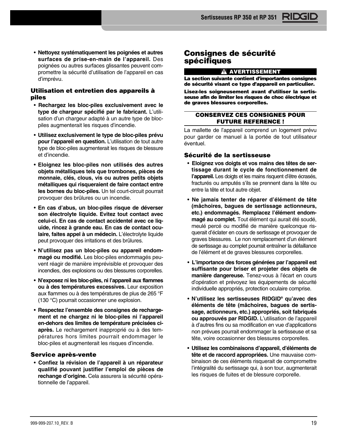• **Nettoyez systématiquement les poignées et autres surfaces de prise-en-main de l'appareil.** Des poignées ou autres surfaces glissantes peuvent compromettre la sécurité d'utilisation de l'appareil en cas d'imprévu.

#### **Utilisation et entretien des appareils à piles**

- **Rechargez les bloc-piles exclusivement avec le type de chargeur spécifié par le fabricant.** L'utilisation d'un chargeur adapté à un autre type de blocpiles augmenterait les risques d'incendie.
- **Utilisez exclusivement le type de bloc-piles prévu pour l'appareil en question.** L'utilisation de tout autre type de bloc-piles augmenterait les risques de blessure et d'incendie.
- **Eloignez les bloc-piles non utilisés des autres objets métalliques tels que trombones, pièces de monnaie, clés, clous, vis ou autres petits objets métalliques qui risqueraient de faire contact entre les bornes du bloc-piles.** Un tel court-circuit pourrait provoquer des brûlures ou un incendie.
- **En cas d'abus, un bloc-piles risque de déverser son électrolyte liquide. Evitez tout contact avec celui-ci. En cas de contact accidentel avec ce liquide, rincez à grande eau. En cas de contact oculaire, faites appel à un médecin.** L'électrolyte liquide peut provoquer des irritations et des brûlures.
- **N'utilisez pas un bloc-piles ou appareil endommagé ou modifié.** Les bloc-piles endommagés peuvent réagir de manière imprévisible et provoquer des incendies, des explosions ou des blessures corporelles.
- **N'exposez ni les bloc-piles, ni l'appareil aux flammes ou à des températures excessives.** Leur exposition aux flammes ou à des températures de plus de 265 °F (130 °C) pourrait occasionner une explosion.
- **Respectez l'ensemble des consignes de rechargement et ne chargez ni le bloc-piles ni l'appareil en-dehors des limites de température précisées ciaprès.** Le rechargement inapproprié ou à des températures hors limites pourrait endommager le bloc-piles et augmenterait les risques d'incendie.

#### **Service après-vente**

• **Confiez la révision de l'appareil à un réparateur qualifié pouvant justifier l'emploi de pièces de rechange d'origine.** Cela assurera la sécurité opérationnelle de l'appareil.

# **Consignes de sécurité spécifiques**

#### **AVERTISSEMENT**

**La section suivante contient d'importantes consignes de sécurité visant ce type d'appareil en particulier.**

**Lisez-les soigneusement avant d'utiliser la sertisseuse afin de limiter les risques de choc électrique et de graves blessures corporelles.**

#### **CONSERVEZ CES CONSIGNES POUR FUTURE REFERENCE !**

La mallette de l'appareil comprend un logement prévu pour garder ce manuel à la portée de tout utilisateur éventuel.

#### **Sécurité de la sertisseuse**

- **Eloignez vos doigts et vos mains des têtes de sertissage durant le cycle de fonctionnement de l'appareil.** Les doigts et les mains risquent d'être écrasés, fracturés ou amputés s'ils se prennent dans la tête ou entre la tête et tout autre objet.
- **Ne jamais tenter de réparer d'élément de tête (mâchoires, bagues de sertissage actionneurs, etc.) endommagés. Remplacez l'élément endommagé au complet.** Tout élément qui aurait été soudé, meulé percé ou modifié de manière quelconque risquerait d'éclater en cours de sertissage et provoquer de graves blessures. Le non remplacement d'un élément de sertissage au complet pourrait entraîner la défaillance de l'élément et de graves blessures corporelles.
- **L'importance des forces générées par l'appareil est suffisante pour briser et projeter des objets de manière dangereuse.** Tenez-vous à l'écart en cours d'opération et prévoyez les équipements de sécurité individuelle appropriés, protection oculaire comprise.
- **N'utilisez les sertisseuses RIDGID® qu'avec des éléments de tête (mâchoires, bagues de sertissage, actionneurs, etc.) appropriés, soit fabriqués ou approuvés par RIDGID.** L'utilisation de l'appareil à d'autres fins ou sa modification en vue d'applications non prévues pourrait endommager la sertisseuse et sa tête, voire occasionner des blessures corporelles.
- **Utilisez les combinaisons d'appareil, d'éléments de tête et de raccord appropriées.** Une mauvaise combinaison de ces éléments risquerait de compromettre l'intégralité du sertissage qui, à son tour, augmenterait les risques de fuites et de blessure corporelle.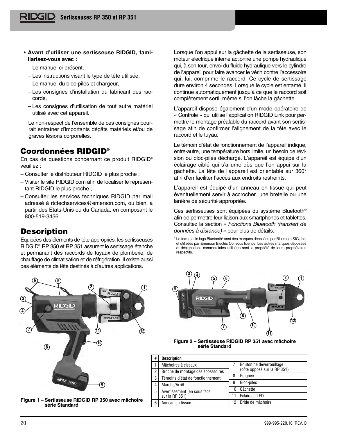- **Avant d'utiliser une sertisseuse RIDGID, familiarisez-vous avec :**
- Le manuel ci-présent,
- Les instructions visant le type de tête utilisée,
- Le manuel du bloc-piles et chargeur,
- Les consignes d'installation du fabricant des raccords,
- Les consignes d'utilisation de tout autre matériel utilisé avec cet appareil.

Le non-respect de l'ensemble de ces consignes pourrait entraîner d'importants dégâts matériels et/ou de graves lésions corporelles.

# **Coordonnées RIDGID®**

En cas de questions concernant ce produit RIDGID® veuillez :

- Consulter le distributeur RIDGID le plus proche ;
- Visiter le site RIDGID.com afin de localiser le représentant RIDGID le plus proche ;
- Consulter les services techniques RIDGID par mail adressé à rtctechservices@emerson.com, ou bien, à partir des Etats-Unis ou du Canada, en composant le 800-519-3456.

# **Description**

Equipées des éléments de tête appropriés, les sertisseuses RIDGID® RP 350 et RP 351 assurent le sertissage étanche et permanant des raccords de tuyaux de plomberie, de chauffage de climatisation et de réfrigération. Il existe aussi des éléments de tête destinés à d'autres applications.

Lorsque l'on appui sur la gâchette de la sertisseuse, son moteur électrique interne actionne une pompe hydraulique qui, à son tour, envoi du fluide hydraulique vers le cylindre de l'appareil pour faire avancer le vérin contre l'accessoire qui, lui, comprime le raccord. Ce cycle de sertissage dure environ 4 secondes. Lorsque le cycle est entamé, il continue automatiquement jusqu'à ce que le raccord soit complètement serti, même si l'on lâche la gâchette.

L'appareil dispose également d'un mode opératoire de « Contrôle » qui utilise l'application RIDGID Link pour permettre le montage préalable du raccord avant son sertissage afin de confirmer l'alignement de la tête avec le raccord et le tuyau.

Le témoin d'état de fonctionnement de l'appareil indique, entre-autre, une température hors limite, un besoin de révision ou bloc-piles déchargé. L'appareil est équipé d'un éclairage ciblé qui s'allume dès que l'on appui sur la gâchette. La tête de l'appareil est orientable sur 360° afin d'en faciliter l'accès aux endroits restreints.

L'appareil est équipé d'un anneau en tissue qui peut éventuellement servir à accrocher une bretelle ou une lanière de sécurité appropriée.

Ces sertisseuses sont équipées du système Bluetooth® afin de permettre leur liaison aux smartphones et tablettes. Consultez la section *« Fonctions Bluetooth (transfert de données à distance) »* pour plus de détails.

\* Le terme et le logo Bluetooth® sont des marques déposées par Bluetooth SIG, Inc. et utilisées par Emerson Electric Co. sous licence. Les autres marques déposées et désignations commerciales utilisées sont la propriété de leurs propriétaires respectifs.



**Figure 2 – Sertisseuse RIDGID RP 351 avec mâchoire série Standard**

| (côté opposé sur la RP 351) |
|-----------------------------|
|                             |
|                             |
|                             |
|                             |
|                             |
|                             |



**Figure 1 – Sertisseuse RIDGID RP 350 avec mâchoire série Standard**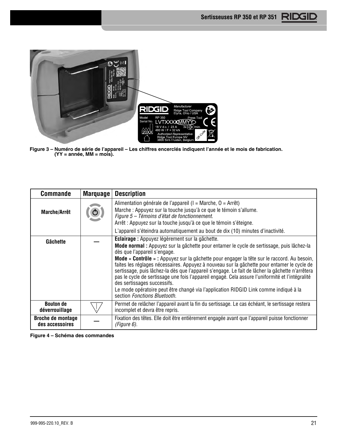

**Figure 3 – Numéro de série de l'appareil – Les chiffres encerclés indiquent l'année et le mois de fabrication. (YY = année, MM = mois).**

| <b>Commande</b>                      | <b>Marquage</b> | <b>Description</b>                                                                                                                                                                                                                                                                                                                                                                                                                                                                                                                                                                                                                                                                                                                                              |
|--------------------------------------|-----------------|-----------------------------------------------------------------------------------------------------------------------------------------------------------------------------------------------------------------------------------------------------------------------------------------------------------------------------------------------------------------------------------------------------------------------------------------------------------------------------------------------------------------------------------------------------------------------------------------------------------------------------------------------------------------------------------------------------------------------------------------------------------------|
| <b>Marche/Arrêt</b>                  |                 | Alimentation générale de l'appareil ( $I = \text{Marche}, O = \text{Arr}$ et)<br>Marche : Appuyez sur la touche jusqu'à ce que le témoin s'allume.<br>Figure 5 - Témoins d'état de fonctionnement.<br>Arrêt : Appuyez sur la touche jusqu'à ce que le témoin s'éteigne.                                                                                                                                                                                                                                                                                                                                                                                                                                                                                         |
|                                      |                 | L'appareil s'éteindra automatiquement au bout de dix (10) minutes d'inactivité.                                                                                                                                                                                                                                                                                                                                                                                                                                                                                                                                                                                                                                                                                 |
| Gâchette                             |                 | Eclairage : Appuyez légèrement sur la gâchette.<br><b>Mode normal :</b> Appuyez sur la gâchette pour entamer le cycle de sertissage, puis lâchez-la<br>dès que l'appareil s'engage.<br><b>Mode « Contrôle »</b> : Appuyez sur la gâchette pour engager la tête sur le raccord. Au besoin,<br>faites les réglages nécessaires. Appuyez à nouveau sur la gâchette pour entamer le cycle de<br>sertissage, puis lâchez-la dès que l'appareil s'engage. Le fait de lâcher la gâchette n'arrêtera<br>pas le cycle de sertissage une fois l'appareil engagé. Cela assure l'uniformité et l'intégralité<br>des sertissages successifs.<br>Le mode opératoire peut être changé via l'application RIDGID Link comme indiqué à la<br>section <i>Fonctions Bluetooth</i> . |
| <b>Bouton de</b><br>déverrouillage   |                 | Permet de relâcher l'appareil avant la fin du sertissage. Le cas échéant, le sertissage restera<br>incomplet et devra être repris.                                                                                                                                                                                                                                                                                                                                                                                                                                                                                                                                                                                                                              |
| Broche de montage<br>des accessoires |                 | Fixation des têtes. Elle doit être entièrement engagée avant que l'appareil puisse fonctionner<br>(Figure 6).                                                                                                                                                                                                                                                                                                                                                                                                                                                                                                                                                                                                                                                   |

**Figure 4 – Schéma des commandes**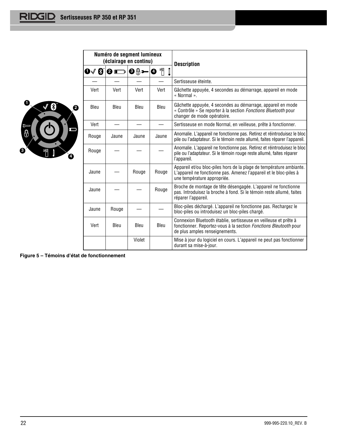

| Numéro de segment lumineux<br>(éclairage en continu) |       |        | <b>Description</b> |                                                                                                                                                                          |
|------------------------------------------------------|-------|--------|--------------------|--------------------------------------------------------------------------------------------------------------------------------------------------------------------------|
| $\bullet\mathscr{A} \bullet\blacksquare$             |       |        | 쀄<br>I             |                                                                                                                                                                          |
|                                                      |       |        |                    | Sertisseuse éteinte.                                                                                                                                                     |
| Vert                                                 | Vert  | Vert   | Vert               | Gâchette appuyée, 4 secondes au démarrage, appareil en mode<br>« Normal ».                                                                                               |
| Bleu                                                 | Bleu  | Bleu   | Bleu               | Gâchette appuyée, 4 secondes au démarrage, appareil en mode<br>« Contrôle » Se reporter à la section Fonctions Bluetooth pour<br>changer de mode opératoire.             |
| Vert                                                 |       |        |                    | Sertisseuse en mode Normal, en veilleuse, prête à fonctionner.                                                                                                           |
| Rouge                                                | Jaune | Jaune  | Jaune              | Anomalie. L'appareil ne fonctionne pas. Retirez et réintroduisez le bloc<br>pile ou l'adaptateur. Si le témoin reste allumé, faites réparer l'appareil.                  |
| Rouge                                                |       |        |                    | Anomalie. L'appareil ne fonctionne pas. Retirez et réintroduisez le bloc<br>pile ou l'adaptateur. Si le témoin rouge reste allumé, faites réparer<br>l'appareil.         |
| Jaune                                                |       | Rouge  | Rouge              | Appareil et/ou bloc-piles hors de la plage de température ambiante.<br>L'appareil ne fonctionne pas. Amenez l'appareil et le bloc-piles à<br>une température appropriée. |
| Jaune                                                |       |        | Rouge              | Broche de montage de tête désengagée. L'appareil ne fonctionne<br>pas. Introduisez la broche à fond. Si le témoin reste allumé, faites<br>réparer l'appareil.            |
| Jaune                                                | Rouge |        |                    | Bloc-piles déchargé. L'appareil ne fonctionne pas. Rechargez le<br>bloc-piles ou introduisez un bloc-piles chargé.                                                       |
| Vert                                                 | Bleu  | Bleu   | Bleu               | Connexion Bluetooth établie, sertisseuse en veilleuse et prête à<br>fonctionner. Reportez-vous à la section Fonctions Bleutooth pour<br>de plus amples renseignements.   |
|                                                      |       | Violet |                    | Mise à jour du logiciel en cours. L'appareil ne peut pas fonctionner<br>durant sa mise-à-jour.                                                                           |

**Figure 5 – Témoins d'état de fonctionnement**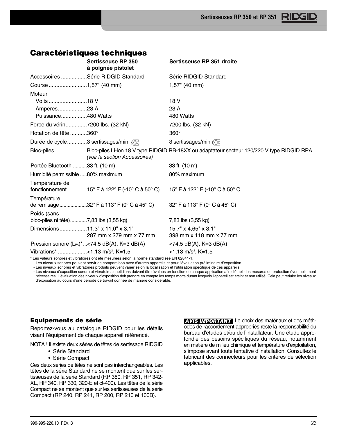**Sertisseuses RP 350 et RP 351**

# **Caractéristiques techniques**

|                                                      | <b>Sertisseuse RP 350</b><br>à poignée pistolet                                              | Sertisseuse RP 351 droite                                                                             |
|------------------------------------------------------|----------------------------------------------------------------------------------------------|-------------------------------------------------------------------------------------------------------|
|                                                      | Accessoires Série RIDGID Standard                                                            | Série RIDGID Standard                                                                                 |
| Course 1,57" (40 mm)                                 |                                                                                              | $1,57"$ (40 mm)                                                                                       |
| Moteur                                               |                                                                                              |                                                                                                       |
|                                                      |                                                                                              | 18 V                                                                                                  |
| Ampères23 A                                          |                                                                                              | 23 A                                                                                                  |
| Puissance480 Watts                                   |                                                                                              | 480 Watts                                                                                             |
| Force du vérin7200 lbs. (32 kN)                      |                                                                                              | 7200 lbs. (32 kN)                                                                                     |
| Rotation de tête 360°                                |                                                                                              | $360^\circ$                                                                                           |
| Durée de cycle3 sertissages/min @                    |                                                                                              | 3 sertissages/min @                                                                                   |
|                                                      | (voir la section Accessoires)                                                                | Bloc-piles Bloc-piles Li-ion 18 V type RIDGID RB-18XX ou adaptateur secteur 120/220 V type RIDGID RPA |
| Portée Bluetooth 33 ft. (10 m)                       |                                                                                              | 33 ft. (10 m)                                                                                         |
| Humidité permissible 80% maximum                     |                                                                                              | 80% maximum                                                                                           |
| Température de                                       | fonctionnement 15° F à 122° F (-10° C à 50° C)                                               | 15° F à 122° F (-10° C à 50° C                                                                        |
| Température                                          | de remisage 32° F à 113° F (0° C à 45° C)                                                    | 32° F à 113° F (0° C à 45° C)                                                                         |
| Poids (sans<br>bloc-piles ni tête)7,83 lbs (3,55 kg) |                                                                                              | 7,83 lbs (3,55 kg)                                                                                    |
| Dimensions11,3" x 11,0" x 3,1"                       | 287 mm x 279 mm x 77 mm                                                                      | 15,7" x 4,65" x 3,1"<br>398 mm x 118 mm x 77 mm                                                       |
|                                                      | Pression sonore $(L_{PA})^*$ <74,5 dB(A), K=3 dB(A)                                          | $<$ 74,5 dB(A), K=3 dB(A)                                                                             |
| Vibrations* <1,13 m/s <sup>2</sup> , K=1,5           |                                                                                              | $<$ 1,13 m/s <sup>2</sup> , K=1,5                                                                     |
|                                                      | t Las velouse sensses et vibroteires ent été mesurées selen le nerme standerdicée ENLCO041-1 |                                                                                                       |

Les valeurs sonores et vibratoires ont été mesurées selon la norme standardisée EN 62841-1.

- Les niveaux sonores peuvent servir de comparaison avec d'autres appareils et pour l'évaluation préliminaire d'exposition.

- Les niveaux sonores et vibratoires produits peuvent varier selon la localisation et l'utilisation spécifique de ces appareils.

- Les niveaux d'exposition sonore et vibratoires quotidiens doivent être évalués en fonction de chaque application afin d'établir les mesures de protection éventuellement nécessaires. L'évaluation des niveaux d'exposition doit prendre en compte les temps morts durant lesquels l'appareil est éteint et non utilisé. Cela peut réduire les niveaux d'exposition au cours d'une période de travail donnée de manière considérable.

#### **Equipements de série**

Reportez-vous au catalogue RIDGID pour les détails visant l'équipement de chaque appareil référencé.

NOTA ! Il existe deux séries de têtes de sertissage RIDGID

- Série Standard
- Série Compact

Ces deux séries de têtes ne sont pas interchangeables. Les têtes de la série Standard ne se montent que sur les sertisseuses de la série Standard (RP 350, RP 351, RP 342- XL, RP 340, RP 330, 320-E et ct-400). Les têtes de la série Compact ne se montent que sur les sertisseuses de la série Compact (RP 240, RP 241, RP 200, RP 210 et 100B).

**AVIS IMPORTANT** Le choix des matériaux et des méthodes de raccordement appropriés reste la responsabilité du bureau d'études et/ou de l'installateur. Une étude approfondie des besoins spécifiques du réseau, notamment en matière de milieu chimique et température d'exploitation, s'impose avant toute tentative d'installation. Consultez le fabricant des connecteurs pour les critères de sélection applicables.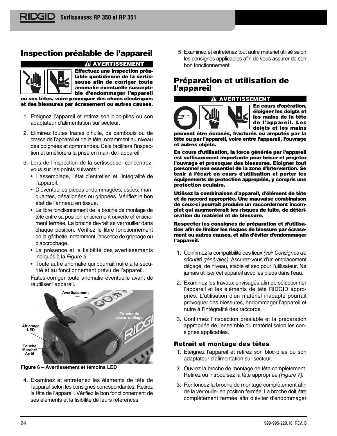# **Inspection préalable de l'appareil**

**AVERTISSEMENT**



**Effectuez une inspection préalable quotidienne de la sertisseuse afin de corriger toute anomalie éventuelle susceptible d'endommager l'appareil**

**ou ses têtes, voire provoquer des chocs électriques et des blessures par écrasement ou autres causes.**

- 1. Eteignez l'appareil et retirez son bloc-piles ou son adaptateur d'alimentation sur secteur.
- 2. Eliminez toutes traces d'huile, de cambouis ou de crasse de l'appareil et de la tête, notamment au niveau des poignées et commandes. Cela facilitera l'inspection et améliorera la prise en main de l'appareil.
- 3. Lors de l'inspection de la sertisseuse, concentrezvous sur les points suivants :
	- L'assemblage, l'état d'entretien et l'intégralité de l'appareil.
	- D'éventuelles pièces endommagées, usées, manquantes, désalignées ou grippées. Vérifiez le bon état de l'anneau en tissue.
	- Le libre fonctionnement de la broche de montage de tête entre sa position entièrement ouverte et entièrement fermée. La broche devrait se verrouiller dans chaque position. Vérifiez le libre fonctionnement de la gâchette, notamment l'absence de grippage ou d'accrochage.
	- La présence et la lisibilité des avertissements indiqués à la *Figure 6.*
	- Toute autre anomalie qui pourrait nuire à la sécurité et au fonctionnement prévu de l'appareil.

Faites corriger toute anomalie éventuelle avant de réutiliser l'appareil.



**Figure 6 – Avertissement et témoins LED**

4. Examinez et entretenez les éléments de tête de l'appareil selon les consignes correspondantes. Retirez la tête de l'appareil. Vérifiez le bon fonctionnement de ses éléments et la lisibilité de leurs références.

5 Examinez et entretenez tout autre matériel utilisé selon les consignes applicables afin de vous assurer de son bon fonctionnement.

# **Préparation et utilisation de l'appareil**

#### **AVERTISSEMENT**



**En cours d'opération, éloigner les doigts et les mains de la tête de l'appareil. Les doigts et les mains**

**peuvent être écrasés, fracturés ou amputés par la tête ou par l'appareil, voire entre l'appareil, l'ouvrage et autres objets.**

**En cours d'utilisation, la force générée par l'appareil est suffisamment importante pour briser et projeter l'ouvrage et provoquer des blessures. Eloigner tout personnel non essentiel de la zone d'intervention. Se tenir à l'écart en cours d'utilisation et porter les équipements de protection appropriés, y compris une protection oculaire.**

**Utilisez la combinaison d'appareil, d'élément de tête et de raccord appropriée. Une mauvaise combinaison de ceux-ci pourrait produire un raccordement incomplet qui augmenterait les risques de fuite, de détérioration du matériel et de blessure.**

**Respecter les consignes de préparation et d'utilisation afin de limiter les risques de blessure par écrasement ou autres causes, et afin d'éviter d'endommager l'appareil.**

- 1. Confirmez la compatibilité des lieux *(voir Consignes de sécurité générales).* Assurez-vous d'un emplacement dégagé, de niveau, stable et sec pour l'utilisateur. Ne jamais utiliser cet appareil avec les pieds dans l'eau.
- 2. Examinez les travaux envisagés afin de sélectionner l'appareil et les éléments de tête RIDGID appropriés. L'utilisation d'un matériel inadapté pourrait provoquer des blessures, endommager l'appareil et nuire à l'intégralité des raccords.
- 3. Confirmez l'inspection préalable et la préparation appropriée de l'ensemble du matériel selon les consignes applicables.

#### **Retrait et montage des têtes**

- 1. Eteignez l'appareil et retirez son bloc-piles ou son adaptateur d'alimentation sur secteur.
- 2. Ouvrez la broche de montage de tête complètement. Retirez ou introduisez la tête appropriée *(Figure 7).*
- 3. Renfoncez la broche de montage complètement afin de la verrouiller en position fermée. La broche doit être complètement fermée afin d'éviter d'endommager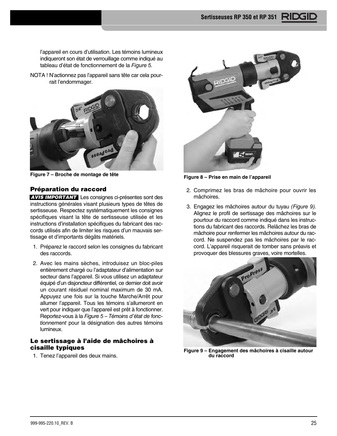l'appareil en cours d'utilisation. Les témoins lumineux indiqueront son état de verrouillage comme indiqué au tableau d'état de fonctionnement de la *Figure 5.*

NOTA ! N'actionnez pas l'appareil sans tête car cela pourrait l'endommager.



**Figure 7 – Broche de montage de tête**

#### **Préparation du raccord**

**AVIS IMPORTANT** Les consignes ci-présentes sont des instructions générales visant plusieurs types de têtes de sertisseuse. Respectez systématiquement les consignes spécifiques visant la tête de sertisseuse utilisée et les instructions d'installation spécifiques du fabricant des raccords utilisés afin de limiter les risques d'un mauvais sertissage et d'importants dégâts matériels.

- 1. Préparez le raccord selon les consignes du fabricant des raccords.
- 2. Avec les mains sèches, introduisez un bloc-piles entièrement chargé ou l'adaptateur d'alimentation sur secteur dans l'appareil. Si vous utilisez un adaptateur équipé d'un disjoncteur différentiel, ce dernier doit avoir un courant résiduel nominal maximum de 30 mA. Appuyez une fois sur la touche Marche/Arrêt pour allumer l'appareil. Tous les témoins s'allumeront en vert pour indiquer que l'appareil est prêt à fonctionner. Reportez-vous à la *Figure 5 – Témoins d'état de fonctionnement* pour la désignation des autres témoins lumineux.

#### **Le sertissage à l'aide de mâchoires à cisaille typiques**

1. Tenez l'appareil des deux mains.



**Figure 8 – Prise en main de l'appareil**

- 2. Comprimez les bras de mâchoire pour ouvrir les mâchoires.
- 3. Engagez les mâchoires autour du tuyau *(Figure 9).* Alignez le profil de sertissage des mâchoires sur le pourtour du raccord comme indiqué dans les instructions du fabricant des raccords. Relâchez les bras de mâchoire pour renfermer les mâchoires autour du raccord. Ne suspendez pas les mâchoires par le raccord. L'appareil risquerait de tomber sans préavis et provoquer des blessures graves, voire mortelles.



**Figure 9 – Engagement des mâchoires à cisaille autour du raccord**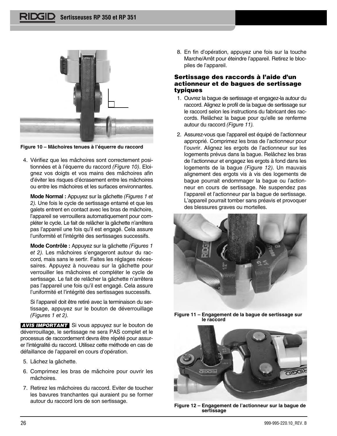

**Figure 10 – Mâchoires tenues à l'équerre du raccord**

4. Vérifiez que les mâchoires sont correctement positionnées et à l'équerre du raccord *(Figure 10)*. Eloi gnez vos doigts et vos mains des mâchoires afin d'éviter les risques d'écrasement entre les mâchoires ou entre les mâchoires et les surfaces environnantes.

**Mode Normal :** Appuyez sur la gâchette *(Figures 1 et 2).* Une fois le cycle de sertissage entamé et que les galets entrent en contact avec les bras de mâchoire, l'appareil se verrouillera automatiquement pour compléter le cycle. Le fait de relâcher la gâchette n'arrêtera pas l'appareil une fois qu'il est engagé. Cela assure l'uniformité et l'intégrité des sertissages successifs.

**Mode Contrôle :** Appuyez sur la gâchette *(Figures 1 et 2).* Les mâchoires s'engageront autour du raccord, mais sans le sertir. Faites les réglages nécessaires. Appuyez à nouveau sur la gâchette pour verrouiller les mâchoires et compléter le cycle de sertissage. Le fait de relâcher la gâchette n'arrêtera pas l'appareil une fois qu'il est engagé. Cela assure l'uniformité et l'intégrité des sertissages successifs.

Si l'appareil doit être retiré avec la terminaison du sertissage, appuyez sur le bouton de déverrouillage *(Figures 1 et 2).*

**AVIS IMPORTANT** Si vous appuyez sur le bouton de déverrouillage, le sertissage ne sera PAS complet et le processus de raccordement devra être répété pour assurer l'intégralité du raccord. Utilisez cette méthode en cas de défaillance de l'appareil en cours d'opération.

- 5. Lâchez la gâchette.
- 6. Comprimez les bras de mâchoire pour ouvrir les mâchoires.
- 7. Retirez les mâchoires du raccord. Eviter de toucher les bavures tranchantes qui auraient pu se former autour du raccord lors de son sertissage.

8. En fin d'opération, appuyez une fois sur la touche Marche/Arrêt pour éteindre l'appareil. Retirez le blocpiles de l'appareil.

#### **Sertissage des raccords à l'aide d'un actionneur et de bagues de sertissage typiques**

- 1. Ouvrez la bague de sertissage et engagez-la autour du raccord. Alignez le profil de la bague de sertissage sur le raccord selon les instructions du fabricant des raccords. Relâchez la bague pour qu'elle se renferme autour du raccord *(Figure 11).*
- 2. Assurez-vous que l'appareil est équipé de l'actionneur approprié. Comprimez les bras de l'actionneur pour l'ouvrir. Alignez les ergots de l'actionneur sur les logements prévus dans la bague. Relâchez les bras de l'actionneur et engagez les ergots à fond dans les logements de la bague *(Figure 12).* Un mauvais alignement des ergots vis à vis des logements de bague pourrait endommager la bague ou l'actionneur en cours de sertissage. Ne suspendez pas l'appareil et l'actionneur par la bague de sertissage. L'appareil pourrait tomber sans préavis et provoquer des blessures graves ou mortelles.



**Figure 11 – Engagement de la bague de sertissage sur le raccord**



**Figure 12 – Engagement de l'actionneur sur la bague de sertissage**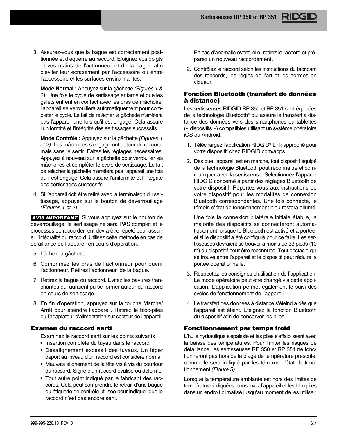3. Assurez-vous que la bague est correctement positionnée et d'équerre au raccord. Eloignez vos doigts et vos mains de l'actionneur et de la bague afin d'éviter leur écrasement par l'accessoire ou entre l'accessoire et les surfaces environnantes.

**Mode Normal :** Appuyez sur la gâchette *(Figures 1 & 2).* Une fois le cycle de sertissage entamé et que les galets entrent en contact avec les bras de mâchoire, l'appareil se verrouillera automatiquement pour compléter le cycle. Le fait de relâcher la gâchette n'arrêtera pas l'appareil une fois qu'il est engagé. Cela assure l'uniformité et l'intégrité des sertissages successifs.

**Mode Contrôle :** Appuyez sur la gâchette *(Figures 1 et 2).* Les mâchoires s'engageront autour du raccord, mais sans le sertir. Faites les réglages nécessaires. Appuyez à nouveau sur la gâchette pour verrouiller les mâchoires et compléter le cycle de sertissage. Le fait de relâcher la gâchette n'arrêtera pas l'appareil une fois qu'il est engagé. Cela assure l'uniformité et l'intégrité des sertissages successifs.

4. Si l'appareil doit être retiré avec la terminaison du sertissage, appuyez sur le bouton de déverrouillage *(Figures 1 et 2).*

**AVIS IMPORTANT** Si vous appuyez sur le bouton de déverrouillage, le sertissage ne sera PAS complet et le processus de raccordement devra être répété pour assurer l'intégralité du raccord. Utilisez cette méthode en cas de défaillance de l'appareil en cours d'opération.

- 5. Lâchez la gâchette.
- 6. Comprimez les bras de l'actionneur pour ouvrir l'actionneur. Retirez l'actionneur de la bague.
- 7. Retirez la bague du raccord. Evitez les bavures tranchantes qui auraient pu se former autour du raccord en cours de sertissage.
- 8. En fin d'opération, appuyez sur la touche Marche/ Arrêt pour éteindre l'appareil. Retirez le bloc-piles ou l'adaptateur d'alimentation sur secteur de l'appareil.

# **Examen du raccord serti**

- 1. Examinez le raccord serti sur les points suivants :
	- Insertion complète du tuyau dans le raccord.
	- Désalignement excessif des tuyaux. Un léger déport au niveau d'un raccord est considéré normal.
	- Mauvais alignement de la tête vis à vis du pourtour du raccord. Signe d'un raccord ovalisé ou déformé.
	- Tout autre point indiqué par le fabricant des raccords. Cela peut comprendre le retrait d'une bague ou étiquette de contrôle utilisée pour indiquer que le raccord n'est pas encore serti.

En cas d'anomalie éventuelle, retirez le raccord et préparez un nouveau raccordement.

2. Contrôlez le raccord selon les instructions du fabricant des raccords, les règles de l'art et les normes en vigueur.

### **Fonction Bluetooth (transfert de données à distance)**

Les sertisseuses RIDGID RP 350 et RP 351 sont équipées de la technologie Bluetooth® qui assure le transfert à distance des données vers des smartphones ou tablettes (« dispositifs ») compatibles utilisant un système opératoire iOS ou Android.

- 1. Téléchargez l'application RIDGID® Link approprié pour votre dispositif chez RIDGID.com/apps.
- 2. Dès que l'appareil est en marche, tout dispositif équipé de la technologie Bluetooth pout reconnaitre et communiquer avec la sertisseuse. Sélectionnez l'appareil RIDGID concerné à partir des réglages Bluetooth de votre dispositif. Reportez-vous aux instructions de votre dispositif pour les modalités de connexion Bluetooth correspondantes. Une fois connecté, le témoin d'état de fonctionnement bleu restera allumé.

Une fois la connexion bilatérale initiale établie, la majorité des dispositifs se connecteront automatiquement lorsque le Bluetooth est activé et à portée, et si le dispositif a été configuré pour ce faire. Les sertisseuses devraient se trouver à moins de 33 pieds (10 m) du dispositif pour être reconnues. Tout obstacle qui se trouve entre l'appareil et le dispositif peut réduire la portée opérationnelle.

- 3. Respectez les consignes d'utilisation de l'application. Le mode opératoire peut être changé via cette application. L'application permet également le suivi des cycles de fonctionnement de l'appareil.
- 4. Le transfert des données à distance s'éteindra dès que l'appareil est éteint. Eteignez la fonction Bluetooth du dispositif afin de conserver les piles.

# **Fonctionnement par temps froid**

L'huile hydraulique s'épaissie et les piles s'affaiblissent avec la baisse des températures. Pour limiter les risques de défaillance, les sertisseuses RP 350 et RP 351 ne fonctionneront pas hors de la plage de température prescrite, comme le sera indiqué par les témoins d'état de fonctionnement *(Figure 5).*

Lorsque la température ambiante est hors des limites de température indiquées, conservez l'appareil et les bloc-piles dans un endroit climatisé jusqu'au moment de les utiliser.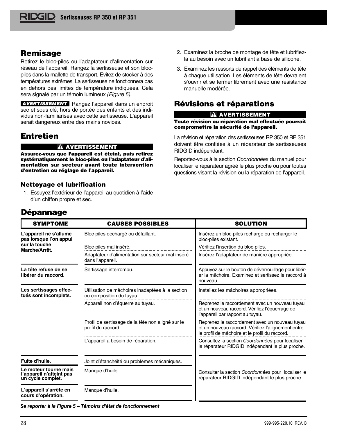# **Remisage**

Retirez le bloc-piles ou l'adaptateur d'alimentation sur réseau de l'appareil. Rangez la sertisseuse et son blocpiles dans la mallette de transport. Evitez de stocker à des températures extrêmes. La sertisseuse ne fonctionnera pas en dehors des limites de température indiquées. Cela sera signalé par un témoin lumineux *(Figure 5).*

**AVERTISSEMENT** Rangez l'appareil dans un endroit sec et sous clé, hors de portée des enfants et des individus non-familiarisés avec cette sertisseuse. L'appareil serait dangereux entre des mains novices.

# **Entretien**

**Dépannage**

#### **AVERTISSEMENT**

**Assurez-vous que l'appareil est éteint, puis retirez systématiquement le bloc-piles ou l'adaptateur d'alimentation sur secteur avant toute intervention d'entretien ou réglage de l'appareil.**

#### **Nettoyage et lubrification**

1. Essuyez l'extérieur de l'appareil au quotidien à l'aide d'un chiffon propre et sec.

- 2. Examinez la broche de montage de tête et lubrifiezla au besoin avec un lubrifiant à base de silicone.
- 3. Examinez les ressorts de rappel des éléments de tête à chaque utilisation. Les éléments de tête devraient s'ouvrir et se fermer librement avec une résistance manuelle modérée.

# **Révisions et réparations**

#### **AVERTISSEMENT**

**Toute révision ou réparation mal effectuée pourrait compromettre la sécurité de l'appareil.**

La révision et réparation des sertisseuses RP 350 et RP 351 doivent être confiées à un réparateur de sertisseuses RIDGID indépendant.

Reportez-vous à la section *Coordonnées* du manuel pour localiser le réparateur agréé le plus proche ou pour toutes questions visant la révision ou la réparation de l'appareil.

| <b>CAUSES POSSIBLES</b>                                                      | <b>SOLUTION</b>                                                                                                                                        |  |
|------------------------------------------------------------------------------|--------------------------------------------------------------------------------------------------------------------------------------------------------|--|
| Bloc-piles déchargé ou défaillant.                                           | Insérez un bloc-piles rechargé ou recharger le<br>bloc-piles existant.                                                                                 |  |
| Bloc-piles mal inséré.                                                       | Vérifiez l'insertion du bloc-piles.                                                                                                                    |  |
| Adaptateur d'alimentation sur secteur mal inséré<br>dans l'appareil.         | Insérez l'adaptateur de manière appropriée.                                                                                                            |  |
| Sertissage interrompu.                                                       | Appuyez sur le bouton de déverrouillage pour libér-<br>er la mâchoire. Examinez et sertissez le raccord à<br>nouveau.                                  |  |
| Utilisation de mâchoires inadaptées à la section<br>ou composition du tuyau. | Installez les mâchoires appropriées.                                                                                                                   |  |
| Appareil non d'équerre au tuyau.                                             | Reprenez le raccordement avec un nouveau tuyau<br>et un nouveau raccord. Vérifiez l'équerrage de<br>l'appareil par rapport au tuyau.                   |  |
| Profil de sertissage de la tête non aligné sur le<br>profil du raccord.      | Reprenez le raccordement avec un nouveau tuyau<br>et un nouveau raccord. Vérifiez l'alignement entre<br>le profil de mâchoire et le profil du raccord. |  |
| L'appareil a besoin de réparation.                                           | Consultez la section Coordonnées pour localiser<br>le réparateur RIDGID indépendant le plus proche.                                                    |  |
| Joint d'étanchéité ou problèmes mécaniques.                                  |                                                                                                                                                        |  |
| Manque d'huile.                                                              | Consulter la section Coordonnées pour localiser le<br>réparateur RIDGID indépendant le plus proche.                                                    |  |
| Manque d'huile.                                                              |                                                                                                                                                        |  |
|                                                                              |                                                                                                                                                        |  |

*Se reporter à la Figure 5 – Témoins d'état de fonctionnement*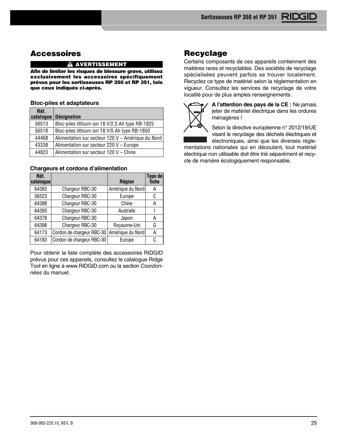# **Accessoires**

#### **A** AVERTISSEMENT

**Afin de limiter les risques de blessure grave, utilisez exclusivement les accessoires spécifiquement prévus pour les sertisseuses RP 350 et RP 351, tels que ceux indiqués ci-après.**

#### **Bloc-piles et adaptateurs**

| Réf.<br>catalogue | <b>Désignation</b>                                |
|-------------------|---------------------------------------------------|
| 56513             | Bloc-piles lithium ion 18 V/2,5 Ah type RB-1825   |
| 56518             | Bloc-piles lithium ion 18 V/5 Ah type RB-1850     |
| 44468             | Alimentation sur secteur 120 V - Amérique du Nord |
| 43338             | Alimentation sur secteur 220 V - Europe           |
| 44823             | Alimentation sur secteur 120 V - Chine            |

#### **Chargeurs et cordons d'alimentation**

| Réf.<br>catalogue |                           | <b>Région</b>    | Type de<br>fiche |
|-------------------|---------------------------|------------------|------------------|
| 64383             | Chargeur RBC-30           | Amérique du Nord | А                |
| 56523             | Chargeur RBC-30           | Europe           | C                |
| 64388             | Chargeur RBC-30           | Chine            | А                |
| 64393             | Chargeur RBC-30           | Australie        |                  |
| 64378             | Chargeur RBC-30           | Japon            | А                |
| 64398             | Chargeur RBC-30           | Royaume-Uni      | G                |
| 64173             | Cordon de chargeur RBC-30 | Amérique du Nord | А                |
| 64183             | Cordon de chargeur RBC-30 | Europe           | C                |

Pour obtenir la liste complète des accessoires RIDGID prévus pour ces appareils, consultez le catalogue Ridge Tool en ligne à www.RIDGID.com ou la section *Coordonnées* du manuel.

# **Recyclage**

Certains composants de ces appareils contiennent des matières rares et recyclables. Des sociétés de recyclage spécialisées peuvent parfois se trouver localement. Recyclez ce type de matériel selon la réglementation en vigueur. Consultez les services de recyclage de votre localité pour de plus amples renseignements.



**A l'attention des pays de la CE :** Ne jamais jeter de matériel électrique dans les ordures ménagères !

Selon la directive européenne n° 2012/19/UE visant le recyclage des déchets électriques et électroniques, ainsi que les diverses régle-

mentations nationales qui en découlent, tout matériel électrique non utilisable doit être trié séparément et recycle de manière écologiquement responsable.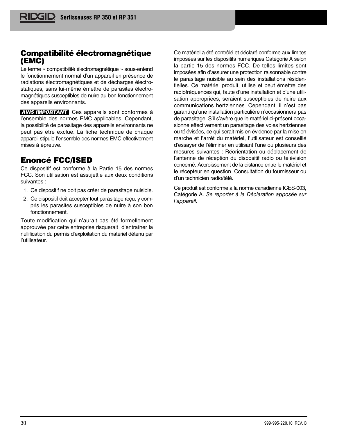# **Compatibilité électromagnétique (EMC)**

Le terme « compatibilité électromagnétique » sous-entend le fonctionnement normal d'un appareil en présence de radiations électromagnétiques et de décharges électrostatiques, sans lui-même émettre de parasites électromagnétiques susceptibles de nuire au bon fonctionnement des appareils environnants.

**AVIS IMPORTANT** Ces appareils sont conformes à l'ensemble des normes EMC applicables. Cependant, la possibilité de parasitage des appareils environnants ne peut pas être exclue. La fiche technique de chaque appareil stipule l'ensemble des normes EMC effectivement mises à épreuve.

# **Enoncé FCC/ISED**

Ce dispositif est conforme à la Partie 15 des normes FCC. Son utilisation est assujettie aux deux conditions suivantes :

- 1. Ce dispositif ne doit pas créer de parasitage nuisible.
- 2. Ce dispositif doit accepter tout parasitage reçu, y compris les parasites susceptibles de nuire à son bon fonctionnement.

Toute modification qui n'aurait pas été formellement approuvée par cette entreprise risquerait d'entraîner la nullification du permis d'exploitation du matériel détenu par l'utilisateur.

Ce matériel a été contrôlé et déclaré conforme aux limites imposées sur les dispositifs numériques Catégorie A selon la partie 15 des normes FCC. De telles limites sont imposées afin d'assurer une protection raisonnable contre le parasitage nuisible au sein des installations résidentielles. Ce matériel produit, utilise et peut émettre des radiofréquences qui, faute d'une installation et d'une utilisation appropriées, seraient susceptibles de nuire aux communications hertziennes. Cependant, il n'est pas garanti qu'une installation particulière n'occasionnera pas de parasitage. S'il s'avère que le matériel ci-présent occasionne effectivement un parasitage des voies hertziennes ou télévisées, ce qui serait mis en évidence par la mise en marche et l'arrêt du matériel, l'utilisateur est conseillé d'essayer de l'éliminer en utilisant l'une ou plusieurs des mesures suivantes : Réorientation ou déplacement de l'antenne de réception du dispositif radio ou télévision concerné. Accroissement de la distance entre le matériel et le récepteur en question. Consultation du fournisseur ou d'un technicien radio/télé.

Ce produit est conforme à la norme canadienne ICES-003, Catégorie A. *Se reporter à la Déclaration apposée sur l'appareil.*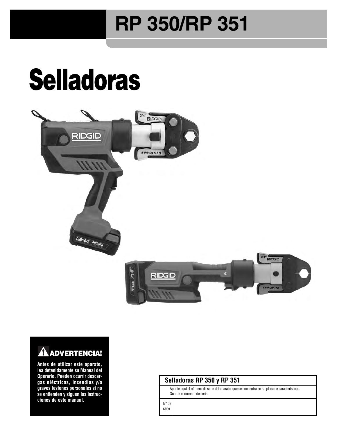# **RP 350/RP 351**

# **Selladoras**





**Antes de utilizar este aparato, lea detenidamente su Manual del Operario. Pueden ocurrir descargas eléctricas, incendios y/o graves lesiones personales si no se entienden y siguen las instrucciones de este manual.**

#### **Selladoras RP 350 y RP 351**

Apunte aquí el número de serie del aparato, que se encuentra en su placa de características. Guarde el número de serie.

N° de serie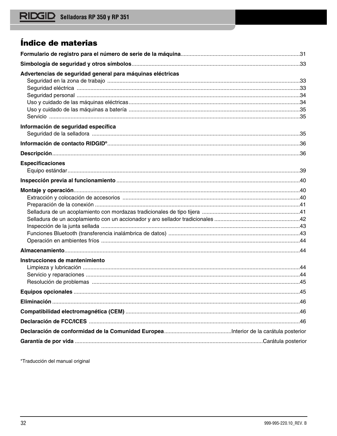# Índice de materias

| Advertencias de seguridad general para máquinas eléctricas |  |
|------------------------------------------------------------|--|
|                                                            |  |
| Información de seguridad específica                        |  |
|                                                            |  |
|                                                            |  |
| <b>Especificaciones</b>                                    |  |
|                                                            |  |
|                                                            |  |
|                                                            |  |
| Instrucciones de mantenimiento                             |  |
|                                                            |  |
|                                                            |  |
|                                                            |  |
|                                                            |  |
|                                                            |  |
|                                                            |  |

\*Traducción del manual original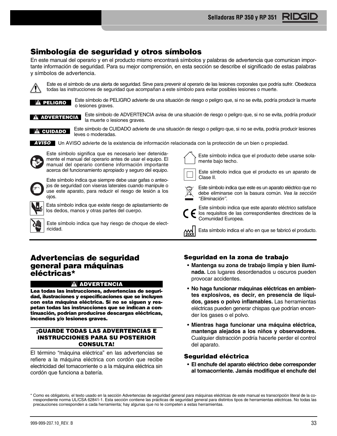# **Simbología de seguridad y otros símbolos**

En este manual del operario y en el producto mismo encontrará símbolos y palabras de advertencia que comunican importante información de seguridad. Para su mejor comprensión, en esta sección se describe el significado de estas palabras y símbolos de advertencia.

Un AVISO advierte de la existencia de información relacionada con la protección de un bien o propiedad. *AVISO*



Este es el símbolo de una alerta de seguridad. Sirve para prevenir al operario de las lesiones corporales que podría sufrir. Obedezca todas las instrucciones de seguridad que acompañan a este símbolo para evitar posibles lesiones o muerte.



Este símbolo de PELIGRO advierte de una situación de riesgo o peligro que, si no se evita, podría producir la muerte o lesiones graves.

**ADVERTENCIA**

Este símbolo de ADVERTENCIA avisa de una situación de riesgo o peligro que, si no se evita, podría producir la muerte o lesiones graves.

**A** CUIDADO

Este símbolo de CUIDADO advierte de una situación de riesgo o peligro que, si no se evita, podría producir lesiones leves o moderadas.



Este símbolo significa que es necesario leer detenidamente el manual del operario antes de usar el equipo. El manual del operario contiene información importante



Este símbolo indica que siempre debe usar gafas o anteojos de seguridad con viseras laterales cuando manipule o use este aparato, para reducir el riesgo de lesión a los ojos.

acerca del funcionamiento apropiado y seguro del equipo.



Esta símbolo indica que existe riesgo de aplastamiento de los dedos, manos y otras partes del cuerpo.

Este símbolo indica que hay riesgo de choque de electricidad.



Este símbolo indica que el producto debe usarse solamente bajo techo.



Este símbolo indica que el producto es un aparato de Clase II.



Este símbolo indica que este es un aparato eléctrico que no debe eliminarse con la basura común. *Vea la sección "Eliminación".*



Este símbolo indica que este aparato eléctrico satisface los requisitos de las correspondientes directrices de la Comunidad Europea.

Esta símbolo indica el año en que se fabricó el producto.

## **Advertencias de seguridad general para máquinas eléctricas\***

#### **ADVERTENCIA**

**Lea todas las instrucciones, advertencias de seguridad, ilustraciones y especificaciones que se incluyen con esta máquina eléctrica. Si no se siguen y respetan todas las instrucciones que se indican a continuación, podrían producirse descargas eléctricas, incendios y/o lesiones graves.**

#### **¡GUARDE TODAS LAS ADVERTENCIAS E INSTRUCCIONES PARA SU POSTERIOR CONSULTA!**

El término "máquina eléctrica" en las advertencias se refiere a la máquina eléctrica con cordón que recibe electricidad del tomacorriente o a la máquina eléctrica sin cordón que funciona a batería.

## **Seguridad en la zona de trabajo**

- **Mantenga su zona de trabajo limpia y bien iluminada.** Los lugares desordenados u oscuros pueden provocar accidentes.
- **No haga funcionar máquinas eléctricas en ambientes explosivos, es decir, en presencia de líquidos, gases o polvo inflamables.** Las herramientas eléctricas pueden generar chispas que podrían encender los gases o el polvo.
- **Mientras haga funcionar una máquina eléctrica, mantenga alejados a los niños y observadores.** Cualquier distracción podría hacerle perder el control del aparato.

#### **Seguridad eléctrica**

• **El enchufe del aparato eléctrico debe corresponder al tomacorriente. Jamás modifique el enchufe del**

<sup>\*</sup> Como es obligatorio, el texto usado en la sección Advertencias de seguridad general para máquinas eléctricas de este manual es transcripción literal de la correspondiente norma UL/CSA 62841-1. Esta sección contiene las prácticas de seguridad general para distintos tipos de herramientas eléctricas. No todas las precauciones corresponden a cada herramienta; hay algunas que no le competen a estas herramientas.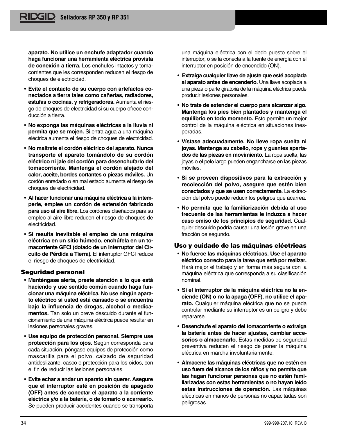**aparato. No utilice un enchufe adaptador cuando haga funcionar una herramienta eléctrica provista de conexión a tierra.** Los enchufes intactos y tomacorrientes que les corresponden reducen el riesgo de choques de electricidad.

- **Evite el contacto de su cuerpo con artefactos co nectados a tierra tales como cañerías, radiadores, estufas o cocinas, y refrigeradores.** Aumenta el riesgo de choques de electricidad si su cuerpo ofrece conducción a tierra.
- **No exponga las máquinas eléctricas a la lluvia ni permita que se mojen.** Si entra agua a una máquina eléctrica aumenta el riesgo de choques de electricidad.
- **No maltrate el cordón eléctrico del aparato. Nunca transporte el aparato tomándolo de su cordón eléctrico ni jale del cordón para desenchufarlo del tomacorriente. Mantenga el cordón alejado del calor, aceite, bordes cortantes o piezas móviles.** Un cordón enredado o en mal estado aumenta el riesgo de choques de electricidad.
- **Al hacer funcionar una máquina eléctrica a la intemperie, emplee un cordón de extensión fabricado para uso al aire libre.** Los cordones diseñados para su empleo al aire libre reducen el riesgo de choques de electricidad.
- **Si resulta inevitable el empleo de una máquina** eléctrica en un sitio húmedo, enchúfela en un to**macorriente GFCI (dotado de un Interruptor del Cir cuito de Pérdida a Tierra).** El interruptor GFCI reduce el riesgo de choques de electricidad.

#### **Seguridad personal**

- **Manténgase alerta, preste atención a lo que está haciendo y use sentido común cuando haga funcionar una máquina eléctrica. No use ningún aparato eléctrico si usted está cansado o se encuentra bajo la influencia de drogas, alcohol o medicamentos.** Tan solo un breve descuido durante el funcionamiento de una máquina eléctrica puede resultar en lesiones personales graves.
- **Use equipo de protección personal. Siempre use protección para los ojos.** Según corresponda para cada situación, póngase equipos de protección como mascarilla para el polvo, calzado de seguridad antideslizante, casco o protección para los oídos, con el fin de reducir las lesiones personales.
- **Evite echar a andar un aparato sin querer. Asegure que el interruptor esté en posición de apagado (OFF) antes de conectar el aparato a la corriente eléctrica y/o a la batería, o de tomarlo o acarrearlo.** Se pueden producir accidentes cuando se transporta

una máquina eléctrica con el dedo puesto sobre el interruptor, o se la conecta a la fuente de energía con el interruptor en posición de encendido (ON).

- **Extraiga cualquier llave de ajuste que esté acoplada al aparato antes de encenderlo.** Una llave acoplada a una pieza o parte giratoria de la máquina eléctrica puede producir lesiones personales.
- **No trate de extender el cuerpo para alcanzar algo. Mantenga los pies bien plantados y mantenga el equilibrio en todo momento.** Esto permite un mejor control de la máquina eléctrica en situaciones inesperadas.
- **Vístase adecuadamente. No lleve ropa suelta ni joyas. Mantenga su cabello, ropa y guantes apartados de las piezas en movimiento.** La ropa suelta, las joyas o el pelo largo pueden engancharse en las piezas móviles.
- **Si se proveen dispositivos para la extracción y recolección del polvo, asegure que estén bien conectados y que se usen correctamente.** La extracción del polvo puede reducir los peligros que acarrea.
- **No permita que la familiarización debida al uso frecuente de las herramientas le induzca a hacer caso omiso de los principios de seguridad.** Cual quier descuido podría causar una lesión grave en una fracción de segundo.

#### **Uso y cuidado de las máquinas eléctricas**

- **No fuerce las máquinas eléctricas. Use el aparato eléctrico correcto para la tarea que está por realizar.** Hará mejor el trabajo y en forma más segura con la máquina eléctrica que corresponda a su clasificación nominal.
- **Si el interruptor de la máquina eléctrica no la en**  ciende (ON) o no la apaga (OFF), no utilice el apa**rato.** Cualquier máquina eléctrica que no se pueda controlar mediante su interruptor es un peligro y debe repararse.
- **Desenchufe el aparato del tomacorriente o extraiga la batería antes de hacer ajustes, cambiar accesorios o almacenarlo.** Estas medidas de seguridad preventiva reducen el riesgo de poner la máquina eléctrica en marcha involuntariamente.
- **Almacene las máquinas eléctricas que no estén en uso fuera del alcance de los niños y no permita que las hagan funcionar personas que no estén fami liarizadas con estas herramientas o no hayan leído estas instrucciones de operación.** Las máquinas eléctricas en manos de personas no capacitadas son peligrosas.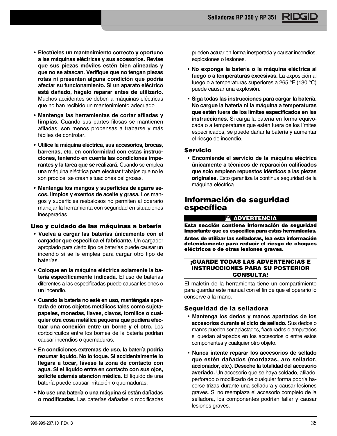- **Efectúeles un mantenimiento correcto y oportuno a las máquinas eléctricas y sus accesorios. Revise que sus piezas móviles estén bien alineadas y que no se atascan. Verifique que no tengan piezas rotas ni presenten alguna condición que podría afectar su funcionamiento. Si un aparato eléctrico está dañado, hágalo reparar antes de utilizarlo.** Muchos accidentes se deben a máquinas eléctricas que no han recibido un mantenimiento adecuado.
- **Mantenga las herramientas de cortar afiladas y limpias.** Cuando sus partes filosas se mantienen afiladas, son menos propensas a trabarse y más fáciles de controlar.
- **Utilice la máquina eléctrica, sus accesorios, brocas, barrenas, etc. en conformidad con estas instrucciones, teniendo en cuenta las condiciones imperantes y la tarea que se realizará.** Cuando se emplea una máquina eléctrica para efectuar trabajos que no le son propios, se crean situaciones peligrosas.
- **Mantenga los mangos y superficies de agarre se cos, limpios y exentos de aceite y grasa.** Los mangos y superficies resbalosos no permiten al operario manejar la herramienta con seguridad en situaciones inesperadas.

#### **Uso y cuidado de las máquinas a batería**

- **Vuelva a cargar las baterías únicamente con el cargador que especifica el fabricante.** Un cargador apropiado para cierto tipo de baterías puede causar un incendio si se le emplea para cargar otro tipo de baterías.
- **Coloque en la máquina eléctrica solamente la ba tería específicamente indicada.** El uso de baterías diferentes a las especificadas puede causar lesiones o un incendio.
- **Cuando la batería no esté en uso, manténgala apar tada de otros objetos metálicos tales como sujetapapeles, monedas, llaves, clavos, tornillos o cual quier otra cosa metálica pequeña que pudiera efectuar una conexión entre un borne y el otro.** Los cortocircuitos entre los bornes de la batería podrían causar incendios o quemaduras.
- **En condiciones extremas de uso, la batería podría rezumar líquido. No lo toque. Si accidentalmente lo llegara a tocar, lávese la zona de contacto con agua. Si el líquido entra en contacto con sus ojos, solicite además atención médica.** El líquido de una batería puede causar irritación o quemaduras.
- **No use una batería o una máquina si están dañadas o modificadas.** Las baterías dañadas o modificadas

pueden actuar en forma inesperada y causar incendios, explosiones o lesiones.

- **No exponga la batería o la máquina eléctrica al fuego o a temperaturas excesivas.** La exposición al fuego o a temperaturas superiores a 265 °F (130 °C) puede causar una explosión.
- **Siga todas las instrucciones para cargar la batería.** No cargue la batería ni la máquina a temperaturas **que estén fuera de los límites especificados en las instrucciones.** Si carga la batería en forma equivocada o a temperaturas que estén fuera de los límites especificados, se puede dañar la batería y aumentar el riesgo de incendio.

#### **Servicio**

• **Encomiende el servicio de la máquina eléctrica únicamente a técnicos de reparación calificados que solo empleen repuestos idénticos a las piezas originales.** Esto garantiza la continua seguridad de la máquina eléctrica.

# **Información de seguridad específica**

#### **ADVERTENCIA**

**Esta sección contiene información de seguridad importante que es específica para estas herramientas.**

**Antes de utilizar las selladoras, lea esta información detenidamente para reducir el riesgo de choques eléctricos o de otras lesiones graves.**

#### **¡GUARDE TODAS LAS ADVERTENCIAS E INSTRUCCIONES PARA SU POSTERIOR CONSULTA!**

El maletín de la herramienta tiene un compartimiento para guardar este manual con el fin de que el operario lo conserve a la mano.

#### **Seguridad de la selladora**

- **Mantenga los dedos y manos apartados de los accesorios durante el ciclo de sellado.** Sus dedos o manos pueden ser aplastados, fracturados o amputados si quedan atrapados en los accesorios o entre estos componentes y cualquier otro objeto.
- **Nunca intente reparar los accesorios de sellado que estén dañados (mordazas, aro sellador, accionador, etc.). Deseche la totalidad del accesorio averiado.** Un accesorio que se haya soldado, afilado, perforado o modificado de cualquier forma podría hacerse trizas durante una selladura y causar lesiones graves. Si no reemplaza el accesorio completo de la selladora, los componentes podrían fallar y causar lesiones graves.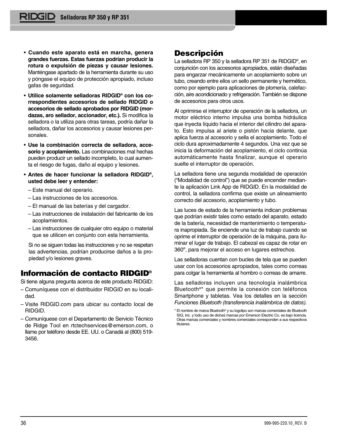- **Cuando este aparato está en marcha, genera grandes fuerzas. Estas fuerzas podrían producir la rotura o expulsión de piezas y causar lesiones.** Manténgase apartado de la herramienta durante su uso y póngase el equipo de protección apropiado, incluso gafas de seguridad.
- **Utilice solamente selladoras RIDGID® con los co rrespondientes accesorios de sellado RIDGID o accesorios de sellado aprobados por RIDGID (mor dazas, aro sellador, accionador, etc.).** Si modifica la selladora o la utiliza para otras tareas, podría dañar la selladora, dañar los accesorios y causar lesiones personales.
- **Use la combinación correcta de selladora, accesorio y acoplamiento.** Las combinaciones mal hechas pueden producir un sellado incompleto, lo cual aumenta el riesgo de fugas, daño al equipo y lesiones.
- **Antes de hacer funcionar la selladora RIDGID®, usted debe leer y entender:**
	- Este manual del operario.
	- Las instrucciones de los accesorios.
	- El manual de las baterías y del cargador.
	- Las instrucciones de instalación del fabricante de los acoplamientos.
	- Las instrucciones de cualquier otro equipo o material que se utilicen en conjunto con esta herramienta.

Si no se siguen todas las instrucciones y no se respetan las advertencias, podrían producirse daños a la propiedad y/o lesiones graves.

# **Información de contacto RIDGID®**

Si tiene alguna pregunta acerca de este producto RIDGID:

- Comuníquese con el distribuidor RIDGID en su localidad.
- Visite RIDGID.com para ubicar su contacto local de RIDGID.
- Comuníquese con el Departamento de Servicio Técnico de Ridge Tool en rtctechservices@emerson.com, o llame por teléfono desde EE. UU. o Canadá al (800) 519- 3456.

# **Descripción**

La selladora RP 350 y la selladora RP 351 de RIDGID® , en conjunción con los accesorios apropiados, están diseñadas para engarzar mecánicamente un acoplamiento sobre un tubo, creando entre ellos un sello permanente y hermético, como por ejemplo para aplicaciones de plomería, calefacción, aire acondicionado y refrigeración. También se dispone de accesorios para otros usos.

Al oprimirse el interruptor de operación de la selladora, un motor eléctrico interno impulsa una bomba hidráulica que inyecta líquido hacia el interior del cilindro del aparato. Esto impulsa al ariete o pistón hacia delante, que aplica fuerza al accesorio y sella el acoplamiento. Todo el ciclo dura aproximadamente 4 segundos. Una vez que se inicia la deformación del acoplamiento, el ciclo continúa automáticamente hasta finalizar, aunque el operario suelte el interruptor de operación.

La selladora tiene una segunda modalidad de operación ("Modalidad de control") que se puede encender mediante la aplicación Link App de RIDGID. En la modalidad de control, la selladora confirma que existe un alineamiento correcto del accesorio, acoplamiento y tubo.

Las luces de estado de la herramienta indican problemas que podrían existir tales como estado del aparato, estado de la batería, necesidad de mantenimiento o temperatura inapropiada. Se enciende una luz de trabajo cuando se oprime el interruptor de operación de la máquina, para iluminar el lugar de trabajo. El cabezal es capaz de rotar en 360º, para mejorar el acceso en lugares estrechos.

Las selladoras cuentan con bucles de tela que se pueden usar con los accesorios apropiados, tales como correas para colgar la herramienta al hombro o correas de amarre.

Las selladoras incluyen una tecnología inalámbrica Bluetooth®\* que permite la conexión con teléfonos Smartphone y tabletas. Vea los detalles en la sección *Funciones Bluetooth (transferencia inalámbrica de datos).*

<sup>\*</sup> El nombre de marca Bluetooth® y su logotipo son marcas comerciales de Bluetooth SIG, Inc. y todo uso de dichas marcas por Emerson Electric Co. es bajo licencia. Otras marcas comerciales y nombres comerciales corresponden a sus respectivos titulares.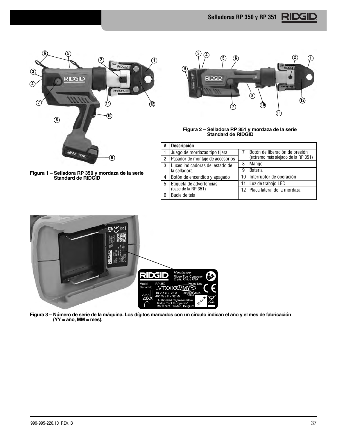**Selladoras RP 350 y RP 351**



**Figura 1 – Selladora RP 350 y mordaza de la serie Standard de RIDGID**



**Figura 2 – Selladora RP 351 y mordaza de la serie Standard de RIDGID**

| #              | <b>Descripción</b>               |   |                                    |  |  |
|----------------|----------------------------------|---|------------------------------------|--|--|
|                | Juego de mordazas tipo tijera    |   | Botón de liberación de presión     |  |  |
| $\overline{2}$ | Pasador de montaje de accesorios |   | (extremo más alejado de la RP 351) |  |  |
| 3              | Luces indicadoras del estado de  |   | Mango<br>8                         |  |  |
|                | la selladora                     | 9 | Batería                            |  |  |
| 4              | Botón de encendido y apagado     |   | 10 Interruptor de operación        |  |  |
| 5              | Etiqueta de advertencias         |   | 11 Luz de trabajo LED              |  |  |
|                | (base de la RP 351)              |   | 12 Placa lateral de la mordaza     |  |  |
| 6              | Bucle de tela                    |   |                                    |  |  |



**Figura 3 – Número de serie de la máquina. Los dígitos marcados con un círculo indican el año y el mes de fabricación (YY = año, MM = mes).**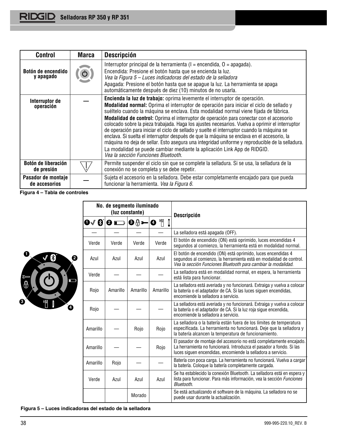| <b>Control</b>                      | <b>Marca</b> | <b>Descripción</b>                                                                                                                                                                                                                                                                                                                                                                                                                                                                                                                                                                                                                                                                                                                                                                                                                                                            |  |
|-------------------------------------|--------------|-------------------------------------------------------------------------------------------------------------------------------------------------------------------------------------------------------------------------------------------------------------------------------------------------------------------------------------------------------------------------------------------------------------------------------------------------------------------------------------------------------------------------------------------------------------------------------------------------------------------------------------------------------------------------------------------------------------------------------------------------------------------------------------------------------------------------------------------------------------------------------|--|
| Botón de encendido<br>y apagado     |              | Interruptor principal de la herramienta ( $l =$ encendida, $0 =$ apagada).<br>Encendida: Presione el botón hasta que se encienda la luz.<br>Vea la Figura 5 – Luces indicadoras del estado de la selladora<br>Apagada: Presione el botón hasta que se apague la luz. La herramienta se apaga<br>automáticamente después de diez (10) minutos de no usarla.                                                                                                                                                                                                                                                                                                                                                                                                                                                                                                                    |  |
| Interruptor de<br>operación         |              | Encienda la luz de trabajo: oprima levemente el interruptor de operación.<br>Modalidad normal: Oprima el interruptor de operación para iniciar el ciclo de sellado y<br>suéltelo cuando la máquina se enclava. Esta modalidad normal viene fijada de fábrica.<br>Modalidad de control: Oprima el interruptor de operación para conectar con el accesorio<br>colocado sobre la pieza trabajada. Haga los ajustes necesarios. Vuelva a oprimir el interruptor<br>de operación para iniciar el ciclo de sellado y suelte el interruptor cuando la máquina se<br>enclava. Si suelta el interruptor después de que la máquina se enclava en el accesorio, la<br>máquina no deja de sellar. Esto asegura una integridad uniforme y reproducible de la selladura.<br>La modalidad se puede cambiar mediante la aplicación Link App de RIDGID.<br>Vea la sección Funciones Bluetooth. |  |
| Botón de liberación<br>de presión   |              | Permite suspender el ciclo sin que se complete la selladura. Si se usa, la selladura de la<br>conexión no se completa y se debe repetir.                                                                                                                                                                                                                                                                                                                                                                                                                                                                                                                                                                                                                                                                                                                                      |  |
| Pasador de montaje<br>de accesorios |              | Sujeta el accesorio en la selladora. Debe estar completamente encajado para que pueda<br>funcionar la herramienta. Vea la Figura 6.                                                                                                                                                                                                                                                                                                                                                                                                                                                                                                                                                                                                                                                                                                                                           |  |

**Figura 4 – Tabla de controles**



| No. de segmento iluminado<br>(luz constante) |          |          | <b>Descripción</b>         |                                                                                                                                                                                                            |  |
|----------------------------------------------|----------|----------|----------------------------|------------------------------------------------------------------------------------------------------------------------------------------------------------------------------------------------------------|--|
| 0√ 0`                                        | 0 L      |          | 憪<br>$\boldsymbol{O}$<br>I |                                                                                                                                                                                                            |  |
|                                              |          |          |                            | La selladora está apagada (OFF).                                                                                                                                                                           |  |
| Verde                                        | Verde    | Verde    | Verde                      | El botón de encendido (ON) está oprimido, luces encendidas 4<br>segundos al comienzo, la herramienta está en modalidad normal.                                                                             |  |
| Azul                                         | Azul     | Azul     | Azul                       | El botón de encendido (ON) está oprimido, luces encendidas 4<br>segundos al comienzo, la herramienta está en modalidad de control.<br>Vea la sección Funciones Bluetooth para cambiar la modalidad.        |  |
| Verde                                        |          |          |                            | La selladora está en modalidad normal, en espera, la herramienta<br>está lista para funcionar.                                                                                                             |  |
| Rojo                                         | Amarillo | Amarillo | Amarillo                   | La selladora está averiada y no funcionará. Extraiga y vuelva a colocar<br>la batería o el adaptador de CA. Si las luces siguen encendidas,<br>encomiende la selladora a servicio.                         |  |
| Rojo                                         |          |          |                            | La selladora está averiada y no funcionará. Extraiga y vuelva a colocar<br>la batería o el adaptador de CA. Si la luz roja sigue encendida,<br>encomiende la selladora a servicio.                         |  |
| Amarillo                                     |          | Rojo     | Rojo                       | La selladora o la batería están fuera de los límites de temperatura<br>especificada. La herramienta no funcionará. Deje que la selladora y<br>la batería alcancen la temperatura de funcionamiento.        |  |
| Amarillo                                     |          |          | Rojo                       | El pasador de montaje del accesorio no está completamente encajado.<br>La herramienta no funcionará. Introduzca el pasador a fondo. Si las<br>luces siguen encendidas, encomiende la selladora a servicio. |  |
| Amarillo                                     | Rojo     |          |                            | Batería con poca carga. La herramienta no funcionará. Vuelva a cargar<br>la batería. Coloque la batería completamente cargada.                                                                             |  |
| Verde                                        | Azul     | Azul     | Azul                       | Se ha establecido la conexión Bluetooth. La selladora está en espera y<br>lista para funcionar. Para más información, vea la sección Funciones<br>Bluetooth.                                               |  |
|                                              |          | Morado   |                            | Se está actualizando el software de la máquina. La selladora no se<br>puede usar durante la actualización.                                                                                                 |  |

**Figura 5 – Luces indicadoras del estado de la selladora**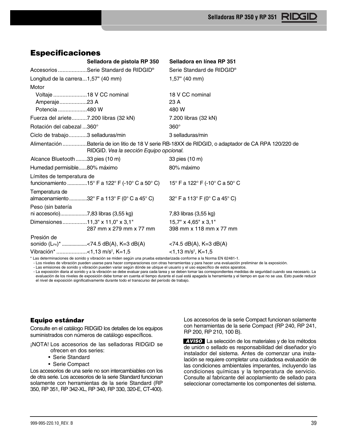**Selladoras RP 350 y RP 351**

# **Especificaciones**

|                                           | Selladora de pistola RP 350                    | Selladora en línea RP 351                                                                           |
|-------------------------------------------|------------------------------------------------|-----------------------------------------------------------------------------------------------------|
|                                           | Accesorios Serie Standard de RIDGID®           | Serie Standard de RIDGID <sup>®</sup>                                                               |
| Longitud de la carrera1,57" (40 mm)       |                                                | $1,57"$ (40 mm)                                                                                     |
| Motor                                     |                                                |                                                                                                     |
| Voltaje 18 V CC nominal                   |                                                | 18 V CC nominal                                                                                     |
| Amperaje23 A                              |                                                | 23 A                                                                                                |
| Potencia 480 W                            |                                                | 480 W                                                                                               |
| Fuerza del ariete7.200 libras (32 kN)     |                                                | 7.200 libras (32 kN)                                                                                |
| Rotación del cabezal 360°                 |                                                | $360^\circ$                                                                                         |
| Ciclo de trabajo3 selladuras/min          |                                                | 3 selladuras/min                                                                                    |
|                                           | RIDGID. Vea la sección Equipo opcional.        | Alimentación Batería de ion litio de 18 V serie RB-18XX de RIDGID, o adaptador de CA RPA 120/220 de |
| Alcance Bluetooth 33 pies (10 m)          |                                                | 33 pies (10 m)                                                                                      |
| Humedad permisible80% máximo              |                                                | 80% máximo                                                                                          |
| Límites de temperatura de                 |                                                |                                                                                                     |
|                                           | funcionamiento 15° F a 122° F (-10° C a 50° C) | 15° F a 122° F (-10° C a 50° C                                                                      |
| Temperatura de                            |                                                |                                                                                                     |
|                                           | almacenamiento 32° F a 113° F (0° C a 45° C)   | 32° F a 113° F (0° C a 45° C)                                                                       |
| Peso (sin batería                         |                                                |                                                                                                     |
| ni accesorio)7,83 libras (3,55 kg)        |                                                | 7,83 libras (3,55 kg)                                                                               |
| Dimensiones11,3" x 11,0" x 3,1"           |                                                | 15,7" x 4,65" x 3,1"                                                                                |
|                                           | 287 mm x 279 mm x 77 mm                        | 398 mm x 118 mm x 77 mm                                                                             |
| Presión de                                |                                                |                                                                                                     |
|                                           |                                                | $<$ 74.5 dB(A), K=3 dB(A)                                                                           |
| Vibración* <1,13 m/s <sup>2</sup> , K=1,5 |                                                | $<$ 1,13 m/s <sup>2</sup> , K=1,5                                                                   |

\* Las determinaciones de sonido y vibración se miden según una prueba estandarizada conforme a la Norma EN 62481-1.

- Los niveles de vibración pueden usarse para hacer comparaciones con otras herramientas y para hacer una evaluación preliminar de la exposición.

- Las emisiones de sonido y vibración pueden variar según dónde se ubique el usuario y el uso específico de estos aparatos.

- La exposición diaria al sonido y a la vibración se debe evaluar para cada tarea y se deben tomar las correspondientes medidas de seguridad cuando sea necesario. La evaluación de los niveles de exposición debe tomar en cuenta el tiempo durante el cual está apagada la herramienta y el tiempo en que no se usa. Esto puede reducir el nivel de exposición significativamente durante todo el transcurso del período de trabajo.

#### **Equipo estándar**

Consulte en el catálogo RIDGID los detalles de los equipos suministrados con números de catálogo específicos.

¡NOTA! Los accesorios de las selladoras RIDGID se ofrecen en dos series:

- Serie Standard
- Serie Compact

Los accesorios de una serie no son intercambiables con los de otra serie. Los accesorios de la serie Standard funcionan solamente con herramientas de la serie Standard (RP 350, RP 351, RP 342-XL, RP 340, RP 330, 320-E, CT-400).

Los accesorios de la serie Compact funcionan solamente con herramientas de la serie Compact (RP 240, RP 241, RP 200, RP 210, 100 B).

La selección de los materiales y de los métodos *AVISO* de unión o sellado es responsabilidad del diseñador y/o instalador del sistema. Antes de comenzar una instalación se requiere completar una cuidadosa evaluación de las condiciones ambientales imperantes, incluyendo las condiciones químicas y la temperatura de servicio. Consulte al fabricante del acoplamiento de sellado para seleccionar correctamente los componentes del sistema.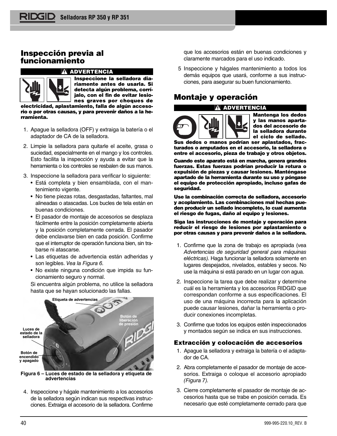# **Inspección previa al funcionamiento**





**Inspeccione la selladora diariamente antes de usarla. Si detecta algún problema, corrí**jalo, con el fin de evitar lesio**nes graves por choques de**

**electricidad, aplastamiento, falla de algún accesorio o por otras causas, y para prevenir daños a la he rramienta.**

- 1. Apague la selladora (OFF) y extraiga la batería o el adaptador de CA de la selladora.
- 2. Limpie la selladora para quitarle el aceite, grasa o suciedad, especialmente en el mango y los controles. Esto facilita la inspección y ayuda a evitar que la herramienta o los controles se resbalen de sus manos.
- 3. Inspeccione la selladora para verificar lo siguiente:
	- Está completa y bien ensamblada, con el mantenimiento vigente.
	- No tiene piezas rotas, desgastadas, faltantes, mal alineadas o atascadas. Los bucles de tela están en buenas condiciones.
	- El pasador de montaje de accesorios se desplaza fácilmente entre la posición completamente abierta y la posición completamente cerrada. El pasador debe enclavarse bien en cada posición. Confirme que el interruptor de operación funciona bien, sin trabarse ni atascarse.
	- Las etiquetas de advertencia están adheridas y son legibles. *Vea la Figura 6.*
	- No existe ninguna condición que impida su funcionamiento seguro y normal.

Si encuentra algún problema, no utilice la selladora hasta que se hayan solucionado las fallas.



**Figura 6 – Luces de estado de la selladora y etiqueta de advertencias**

4. Inspeccione y hágale mantenimiento a los accesorios de la selladora según indican sus respectivas instrucciones. Extraiga el accesorio de la selladora. Confirme

que los accesorios están en buenas condiciones y claramente marcados para el uso indicado.

5 Inspeccione y hágales mantenimiento a todos los demás equipos que usará, conforme a sus instrucciones, para asegurar su buen funcionamiento.

# **Montaje y operación**

**ADVERTENCIA**



**Mantenga los dedos y las manos apartados del accesorio de la selladora durante el ciclo de sellado.**

**Sus dedos o manos podrían ser aplastados, fracturados o amputados en el accesorio, la selladora o entre el accesorio, pieza de trabajo y otros objetos.**

**Cuando este aparato está en marcha, genera grandes fuerzas. Estas fuerzas podrían producir la rotura o expulsión de piezas y causar lesiones. Manténgase apartado de la herramienta durante su uso y póngase el equipo de protección apropiado, incluso gafas de seguridad.**

**Use la combinación correcta de selladora, accesorio y acoplamiento. Las combinaciones mal hechas pue den producir un sellado incompleto, lo cual aumenta el riesgo de fugas, daño al equipo y lesiones.**

**Siga las instrucciones de montaje y operación para reducir el riesgo de lesiones por aplastamiento o por otras causas y para prevenir daños a la selladora.**

- 1. Confirme que la zona de trabajo es apropiada (vea *Advertencias de seguridad general para máquinas eléctricas).* Haga funcionar la selladora solamente en lugares despejados, nivelados, estables y secos. No use la máquina si está parado en un lugar con agua.
- 2. Inspeccione la tarea que debe realizar y determine cuál es la herramienta y los accesorios RIDGID que correspondan conforme a sus especificaciones. El uso de una máquina incorrecta para la aplicación puede causar lesiones, dañar la herramienta o producir conexiones incompletas.
- 3. Confirme que todos los equipos estén inspeccionados y montados según se indica en sus instrucciones.

#### **Extracción y colocación de accesorios**

- 1. Apague la selladora y extraiga la batería o el adaptador de CA.
- 2. Abra completamente el pasador de montaje de accesorios. Extraiga o coloque el accesorio apropiado *(Figura 7).*
- 3. Cierre completamente el pasador de montaje de accesorios hasta que se trabe en posición cerrada. Es necesario que esté completamente cerrado para que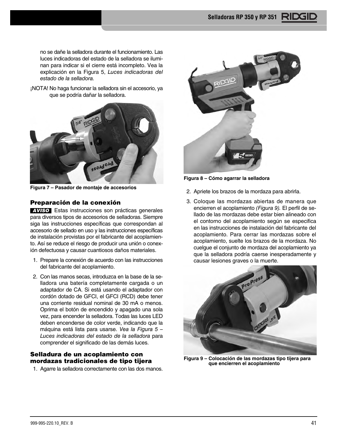no se dañe la selladora durante el funcionamiento. Las luces indicadoras del estado de la selladora se iluminan para indicar si el cierre está incompleto. Vea la explicación en la Figura 5, *Luces indicadoras del estado de la selladora.*

¡NOTA! No haga funcionar la selladora sin el accesorio, ya que se podría dañar la selladora.



**Figura 7 – Pasador de montaje de accesorios**

#### **Preparación de la conexión**

Estas instrucciones son prácticas generales *AVISO*para diversos tipos de accesorios de selladoras. Siempre siga las instrucciones específicas que correspondan al accesorio de sellado en uso y las instrucciones específicas de instalación provistas por el fabricante del acoplamiento. Así se reduce el riesgo de producir una unión o conexión defectuosa y causar cuantiosos daños materiales.

- 1. Prepare la conexión de acuerdo con las instrucciones del fabricante del acoplamiento.
- 2. Con las manos secas, introduzca en la base de la selladora una batería completamente cargada o un adaptador de CA. Si está usando el adaptador con cordón dotado de GFCI, el GFCI (RCD) debe tener una corriente residual nominal de 30 mA o menos. Oprima el botón de encendido y apagado una sola vez, para encender la selladora. Todas las luces LED deben encenderse de color verde, indicando que la máquina está lista para usarse. *Vea la Figura 5 – Luces indicadoras del estado de la selladora* para comprender el significado de las demás luces.

#### **Selladura de un acoplamiento con mordazas tradicionales de tipo tijera**

1. Agarre la selladora correctamente con las dos manos.



**Figura 8 – Cómo agarrar la selladora** 

- 2. Apriete los brazos de la mordaza para abrirla.
- 3. Coloque las mordazas abiertas de manera que encierren el acoplamiento *(Figura 9).* El perfil de sellado de las mordazas debe estar bien alineado con el contorno del acoplamiento según se especifica en las instrucciones de instalación del fabricante del acoplamiento. Para cerrar las mordazas sobre el acoplamiento, suelte los brazos de la mordaza. No cuelgue el conjunto de mordaza del acoplamiento ya que la selladora podría caerse inesperadamente y causar lesiones graves o la muerte.



**Figura 9 – Colocación de las mordazas tipo tijera para que encierren el acoplamiento**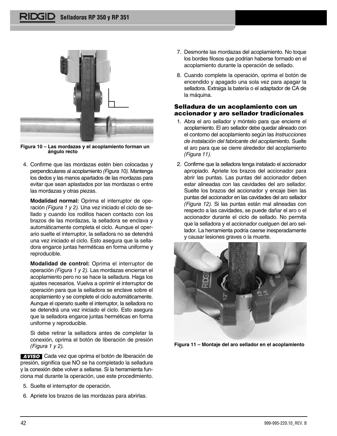

**Figura 10 – Las mordazas y el acoplamiento forman un ángulo recto**

4. Confirme que las mordazas estén bien colocadas y perpendiculares al acoplamiento *(Figura 10).* Mantenga los dedos y las manos apartados de las mordazas para evitar que sean aplastados por las mordazas o entre las mordazas y otras piezas.

Modalidad normal: Oprima el interruptor de operación (Figura 1 y 2). Una vez iniciado el ciclo de sellado y cuando los rodillos hacen contacto con los brazos de las mordazas, la selladora se enclava y automáticamente completa el ciclo. Aunque el operario suelte el interruptor, la selladora no se detendrá una vez iniciado el ciclo. Esto asegura que la selladora engarce juntas herméticas en forma uniforme y reproducible.

**Modalidad de control:** Oprima el interruptor de operación *(Figura 1 y 2).* Las mordazas encierran el acoplamiento pero no se hace la selladura. Haga los ajustes necesarios. Vuelva a oprimir el interruptor de operación para que la selladora se enclave sobre el acoplamiento y se complete el ciclo automáticamente. Aunque el operario suelte el interruptor, la selladora no se detendrá una vez iniciado el ciclo. Esto asegura que la selladora engarce juntas herméticas en forma uniforme y reproducible.

Si debe retirar la selladora antes de completar la conexión, oprima el botón de liberación de presión *(Figura 1 y 2).* 

Cada vez que oprima el botón de liberación de *AVISO*presión, significa que NO se ha completado la selladura y la conexión debe volver a sellarse. Si la herramienta funciona mal durante la operación, use este procedimiento.

- 5. Suelte el interruptor de operación.
- 6. Apriete los brazos de las mordazas para abrirlas.
- 7. Desmonte las mordazas del acoplamiento. No toque los bordes filosos que podrían haberse formado en el acoplamiento durante la operación de sellado.
- 8. Cuando complete la operación, oprima el botón de encendido y apagado una sola vez para apagar la selladora. Extraiga la batería o el adaptador de CA de la máquina.

#### **Selladura de un acoplamiento con un accionador y aro sellador tradicionales**

- 1. Abra el aro sellador y móntelo para que encierre el acoplamiento. El aro sellador debe quedar alineado con el contorno del acoplamiento según las *Instrucciones de instalación del fabricante del acoplamiento.* Suelte el aro para que se cierre alrededor del acoplamiento *(Figura 11).*
- 2. Confirme que la selladora tenga instalado el accionador apropiado. Apriete los brazos del accionador para abrir las puntas. Las puntas del accionador deben estar alineadas con las cavidades del aro sellador. Suelte los brazos del accionador y encaje bien las puntas del accionador en las cavidades del aro sellador *(Figura 12).* Si las puntas están mal alineadas con respecto a las cavidades, se puede dañar el aro o el accionador durante el ciclo de sellado. No permita que la selladora y el accionador cuelguen del aro sellador. La herramienta podría caerse inesperadamente y causar lesiones graves o la muerte.



**Figura 11 – Montaje del aro sellador en el acoplamiento**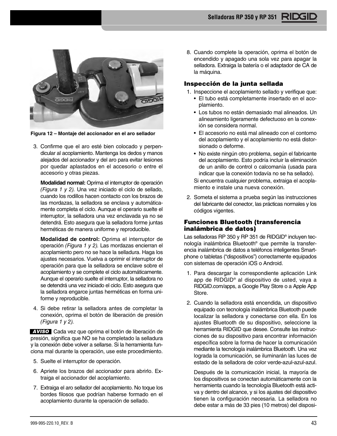

**Figura 12 – Montaje del accionador en el aro sellador**

3. Confirme que el aro esté bien colocado y perpendicular al acoplamiento. Mantenga los dedos y manos alejados del accionador y del aro para evitar lesiones por quedar aplastados en el accesorio o entre el accesorio y otras piezas.

**Modalidad normal:** Oprima el interruptor de operación *(Figura 1 y 2).* Una vez iniciado el ciclo de sellado, cuando los rodillos hacen contacto con los brazos de las mordazas, la selladora se enclava y automáticamente completa el ciclo. Aunque el operario suelte el interruptor, la selladora una vez enclavada ya no se detendrá. Esto asegura que la selladora forme juntas herméticas de manera uniforme y reproducible.

**Modalidad de control:** Oprima el interruptor de operación *(Figura 1 y 2).* Las mordazas encierran el acoplamiento pero no se hace la selladura. Haga los ajustes necesarios. Vuelva a oprimir el interruptor de operación para que la selladora se enclave sobre el acoplamiento y se complete el ciclo automáticamente. Aunque el operario suelte el interruptor, la selladora no se detendrá una vez iniciado el ciclo. Esto asegura que la selladora engarce juntas herméticas en forma uniforme y reproducible.

4. Si debe retirar la selladora antes de completar la conexión, oprima el botón de liberación de presión *(Figura 1 y 2).*

Cada vez que oprima el botón de liberación de *AVISO*presión, significa que NO se ha completado la selladura y la conexión debe volver a sellarse. Si la herramienta funciona mal durante la operación, use este procedimiento.

- 5. Suelte el interruptor de operación.
- 6. Apriete los brazos del accionador para abrirlo. Ex traiga el accionador del acoplamiento.
- 7. Extraiga el aro sellador del acoplamiento. No toque los bordes filosos que podrían haberse formado en el acoplamiento durante la operación de sellado.

8. Cuando complete la operación, oprima el botón de encendido y apagado una sola vez para apagar la selladora. Extraiga la batería o el adaptador de CA de la máquina.

#### **Inspección de la junta sellada**

- 1. Inspeccione el acoplamiento sellado y verifique que:
	- El tubo está completamente insertado en el acoplamiento.
	- Los tubos no están demasiado mal alineados. Un alineamiento ligeramente defectuoso en la conexión se considera normal.
	- El accesorio no está mal alineado con el contorno del acoplamiento y el acoplamiento no está distorsionado o deforme.
	- No existe ningún otro problema, según el fabricante del acoplamiento. Esto podría incluir la eliminación de un anillo de control o calcomanía (usada para indicar que la conexión todavía no se ha sellado).

Si encuentra cualquier problema, extraiga el acoplamiento e instale una nueva conexión.

2. Someta el sistema a prueba según las instrucciones del fabricante del conector, las prácticas normales y los códigos vigentes.

#### **Funciones Bluetooth (transferencia inalámbrica de datos)**

Las selladoras RP 350 y RP 351 de RIDGID® incluyen tecnología inalámbrica Bluetooth® que permite la transferencia inalámbrica de datos a teléfonos inteligentes Smartphone o tabletas ("dispositivos") correctamente equipados con sistemas de operación iOS o Android.

- 1. Para descargar la correspondiente aplicación Link app de RIDGID® al dispositivo de usted, vaya a RIDGID.com/apps, a Google Play Store o a Apple App Store.
- 2. Cuando la selladora está encendida, un dispositivo equipado con tecnología inalámbrica Bluetooth puede localizar la selladora y conectarse con ella. En los ajustes Bluetooth de su dispositivo, seleccione la herramienta RIDGID que desee. Consulte las instrucciones de su dispositivo para encontrar información específica sobre la forma de hacer la comunicación mediante la tecnología inalámbrica Bluetooth. Una vez lograda la comunicación, se iluminarán las luces de estado de la selladora de color verde-azul-azul-azul.

Después de la comunicación inicial, la mayoría de los dispositivos se conectan automáticamente con la herramienta cuando la tecnología Bluetooth está activa y dentro del alcance, y si los ajustes del dispositivo tienen la configuración necesaria. La selladora no debe estar a más de 33 pies (10 metros) del disposi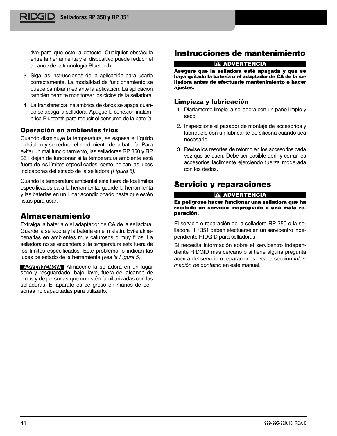tivo para que éste la detecte. Cualquier obstáculo entre la herramienta y el dispositivo puede reducir el alcance de la tecnología Bluetooth.

- 3. Siga las instrucciones de la aplicación para usarla correctamente. La modalidad de funcionamiento se puede cambiar mediante la aplicación. La aplicación también permite monitorear los ciclos de la selladora.
- 4. La transferencia inalámbrica de datos se apaga cuando se apaga la selladora. Apague la conexión inalámbrica Bluetooth para reducir el consumo de la batería.

#### **Operación en ambientes fríos**

Cuando disminuye la temperatura, se espesa el líquido hidráulico y se reduce el rendimiento de la batería. Para evitar un mal funcionamiento, las selladoras RP 350 y RP 351 dejan de funcionar si la temperatura ambiente está fuera de los límites especificados, como indican las luces indicadoras del estado de la selladora *(Figura 5).*

Cuando la temperatura ambiental esté fuera de los límites especificados para la herramienta, guarde la herramienta y las baterías en un lugar acondicionado hasta que estén listas para usar.

# **Almacenamiento**

Extraiga la batería o el adaptador de CA de la selladora. Guarde la selladora y la batería en el maletín. Evite almacenarlas en ambientes muy calurosos o muy fríos. La selladora no se encenderá si la temperatura está fuera de los límites especificados. Este problema lo indican las luces de estado de la herramienta *(vea la Figura 5).*

Almacene la selladora en un lugar *ADVERTENCIA mación de contacto* en este manual.seco y resguardado, bajo llave, fuera del alcance de niños y de personas que no estén familiarizadas con las selladoras. El aparato es peligroso en manos de personas no capacitadas para utilizarlo.

# **Instrucciones de mantenimiento**

#### **ADVERTENCIA**

**Asegure que la selladora esté apagada y que se haya quitado la batería o el adaptador de CA de la selladora antes de efectuarle mantenimiento o hacer ajustes.**

#### **Limpieza y lubricación**

- 1. Diariamente limpie la selladora con un paño limpio y seco.
- 2. Inspeccione el pasador de montaje de accesorios y lubríquelo con un lubricante de silicona cuando sea necesario.
- 3. Revise los resortes de retorno en los accesorios cada vez que se usen. Debe ser posible abrir y cerrar los accesorios fácilmente ejerciendo fuerza moderada con los dedos.

# **Servicio y reparaciones**

#### **ADVERTENCIA**

**Es peligroso hacer funcionar una selladora que ha recibido un servicio inapropiado o una mala reparación.** 

El servicio o reparación de la selladora RP 350 o la selladora RP 351 deben efectuarse en un servicentro independiente RIDGID para selladoras.

Si necesita información sobre el servicentro independiente RIDGID más cercano o si tiene alguna pregunta acerca del servicio o reparaciones, vea la sección *Infor -*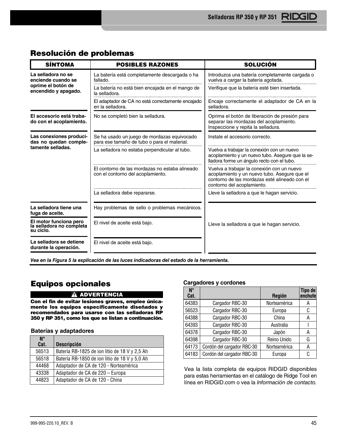**Selladoras RP 350 y RP 351**

# **Resolución de problemas**

| SÍNTOMA                                                         | <b>POSIBLES RAZONES</b>                                                                    | <b>SOLUCIÓN</b>                                                                                                                                                           |  |
|-----------------------------------------------------------------|--------------------------------------------------------------------------------------------|---------------------------------------------------------------------------------------------------------------------------------------------------------------------------|--|
| La selladora no se<br>enciende cuando se                        | La batería está completamente descargada o ha<br>fallado.                                  | Introduzca una batería completamente cargada o<br>vuelva a cargar la batería agotada.                                                                                     |  |
| oprime el botón de<br>encendido y apagado.                      | La batería no está bien encajada en el mango de<br>la selladora.                           | Verifique que la batería esté bien insertada.                                                                                                                             |  |
|                                                                 | El adaptador de CA no está correctamente encajado<br>en la selladora.                      | Encaje correctamente el adaptador de CA en la<br>selladora.                                                                                                               |  |
| El accesorio está traba-<br>do con el acoplamiento.             | No se completó bien la selladura.                                                          | Oprima el botón de liberación de presión para<br>separar las mordazas del acoplamiento.<br>Inspeccione y repita la selladura.                                             |  |
| Las conexiones produci-<br>das no quedan comple-                | Se ha usado un juego de mordazas equivocado<br>para ese tamaño de tubo o para el material. | Instale el accesorio correcto.                                                                                                                                            |  |
| tamente selladas.                                               | La selladora no estaba perpendicular al tubo.                                              | Vuelva a trabajar la conexión con un nuevo<br>acoplamiento y un nuevo tubo. Asegure que la se-<br>lladora forme un ángulo recto con el tubo.                              |  |
|                                                                 | El contorno de las mordazas no estaba alineado<br>con el contorno del acoplamiento.        | Vuelva a trabajar la conexión con un nuevo<br>acoplamiento y un nuevo tubo. Asegure que el<br>contorno de las mordazas esté alineado con el<br>contorno del acoplamiento. |  |
|                                                                 | La selladora debe repararse.                                                               | Lleve la selladora a que le hagan servicio.                                                                                                                               |  |
| La selladora tiene una<br>fuga de aceite.                       | Hay problemas de sello o problemas mecánicos.                                              |                                                                                                                                                                           |  |
| El motor funciona pero<br>la selladora no completa<br>su ciclo. | El nivel de aceite está bajo.                                                              | Lleve la selladora a que le hagan servicio.                                                                                                                               |  |
| La selladora se detiene<br>durante la operación.                | El nivel de aceite está bajo.                                                              |                                                                                                                                                                           |  |

*Vea en la Figura 5 la explicación de las luces indicadoras del estado de la herramienta.*

# **Equipos opcionales**

#### **ADVERTENCIA**

**Con el fin de evitar lesiones graves, emplee únicamente los equipos específicamente diseñados y recomendados para usarse con las selladoras RP 350 y RP 351, como los que se listan a continuación.**

#### **Baterías y adaptadores**

| $N^{\circ}$ |                                               |
|-------------|-----------------------------------------------|
| Cat.        | <b>Descripción</b>                            |
| 56513       | Batería RB-1825 de ion litio de 18 V y 2,5 Ah |
| 56518       | Batería RB-1850 de ion litio de 18 V y 5,0 Ah |
| 44468       | Adaptador de CA de 120 - Norteamérica         |
| 43338       | Adaptador de CA de 220 - Europa               |
| 44823       | Adaptador de CA de 120 - China                |

#### **Cargadores y cordones**

| $N^{\circ}$<br>Cat. |                            | <b>Región</b> | Tipo de<br>enchufe |
|---------------------|----------------------------|---------------|--------------------|
| 64383               | Cargador RBC-30            | Norteamérica  | Α                  |
| 56523               | Cargador RBC-30            | Europa        | C                  |
| 64388               | Cargador RBC-30            | China         | А                  |
| 64393               | Cargador RBC-30            | Australia     |                    |
| 64378               | Cargador RBC-30            | Japón         | Α                  |
| 64398               | Cargador RBC-30            | Reino Unido   | G                  |
| 64173               | Cordón del cargador RBC-30 | Norteamérica  | А                  |
| 64183               | Cordón del cargador RBC-30 | Europa        | C                  |

Vea la lista completa de equipos RIDGID disponibles para estas herramientas en el catálogo de Ridge Tool en línea en RIDGID.com o vea la *Información de contacto.*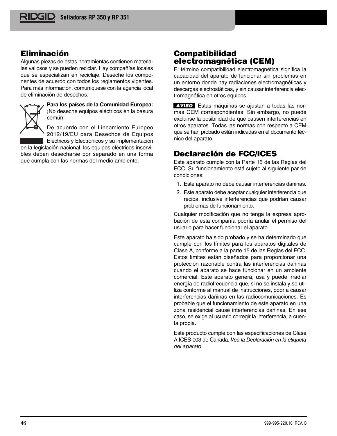# **Eliminación**

Algunas piezas de estas herramientas contienen materiales valiosos y se pueden reciclar. Hay compañías locales que se especializan en reciclaje. Deseche los componentes de acuerdo con todos los reglamentos vigentes. Para más información, comuníquese con la agencia local de eliminación de desechos.



**Para los países de la Comunidad Europea:** ¡No deseche equipos eléctricos en la basura común!

De acuerdo con el Lineamiento Europeo 2012/19/EU para Desechos de Equipos Eléctricos y Electrónicos y su implementación

en la legislación nacional, los equipos eléctricos inservibles deben desecharse por separado en una forma que cumpla con las normas del medio ambiente.

# **Compatibilidad electromagnética (CEM)**

El término compatibilidad electromagnética significa la capacidad del aparato de funcionar sin problemas en un entorno donde hay radiaciones electromagnéticas y descargas electrostáticas, y sin causar interferencia electromagnética en otros equipos.

Estas máquinas se ajustan a todas las nor-*AVISO*mas CEM correspondientes. Sin embargo, no puede excluirse la posibilidad de que causen interferencias en otros aparatos. Todas las normas con respecto a CEM que se han probado están indicadas en el documento técnico del aparato.

# **Declaración de FCC/ICES**

Este aparato cumple con la Parte 15 de las Reglas del FCC. Su funcionamiento está sujeto al siguiente par de condiciones:

- 1. Este aparato no debe causar interferencias dañinas.
- 2. Este aparato debe aceptar cualquier interferencia que reciba, inclusive interferencias que podrían causar problemas de funcionamiento.

Cualquier modificación que no tenga la expresa aprobación de esta compañía podría anular el permiso del usuario para hacer funcionar el aparato.

Este aparato ha sido probado y se ha determinado que cumple con los límites para los aparatos digitales de Clase A, conforme a la parte 15 de las Reglas del FCC. Estos límites están diseñados para proporcionar una protección razonable contra las interferencias dañinas cuando el aparato se hace funcionar en un ambiente comercial. Este aparato genera, usa y puede irradiar energía de radiofrecuencia que, si no se instala y se utiliza conforme al manual de instrucciones, podría causar interferencias dañinas en las radiocomunicaciones. Es probable que el funcionamiento de este aparato en una zona residencial cause interferencias dañinas. En ese caso, se exige al usuario corregir la interferencia, a cuenta propia.

Este producto cumple con las especificaciones de Clase A ICES-003 de Canadá. *Vea la Declaración en la etiqueta del aparato.*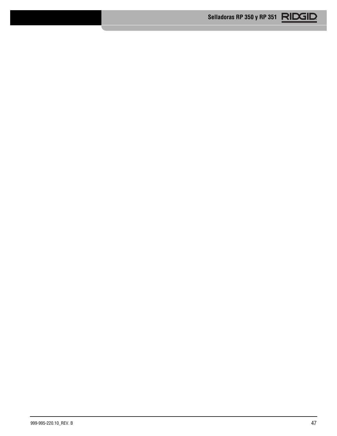# **Selladoras RP 350 y RP 351**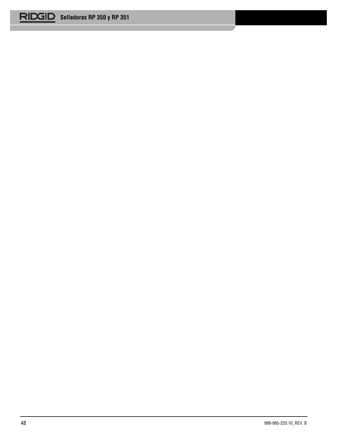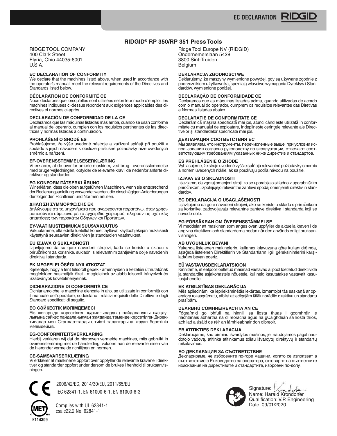#### **RIDGID® RP 350/RP 351 Press Tools**

Elyria, Ohio 44035-6001 U.S.A. Belgium

#### **EC DECLARATION OF CONFORMITY**

We declare that the machines listed above, when used in accordance with the operator's manual, meet the relevant requirements of the Directives and Standards listed below.

#### **DÉCLARATION DE CONFORMITÉ CE**

Nous déclarons que lorsqu'elles sont utilisées selon leur mode d'emploi, les machines indiquées ci-dessus répondent aux exigences applicables des directives et normes ci-après.

#### **DECLARACIóN DE CONFORMIDAD DE LA CE**

Declaramos que las máquinas listadas más arriba, cuando se usan conforme al manual del operario, cumplen con los requisitos pertinentes de las directrices y normas listadas a continuación.

#### **PROHLÁŠENÍ O SHODĚ ES**

Prohlašujeme, že výše uvedené nástroje a zařízení splňují při použití v souladu s jejich návodem k obsluze příslušné požadavky níže uvedených směrnic a nařízení.

#### **EF-OVERENSSTEMMELSESERKLÆRING**

Vi erklærer, at de ovenfor anførte maskiner, ved brug i overensstemmelse med brugervejledningen, opfylder de relevante krav i de nedenfor anførte direktiver og standarder.

#### **EG KONFORMITÄTSERKLÄRUNG**

Wir erklären, dass die oben aufgeführten Maschinen, wenn sie entsprechend der Bedienungsanleitung verwendet werden, die einschlägigenAnforderungen der folgenden Richtlinien und Normen erfüllen.

#### **ΔΗΛΩ ΣΗ ΣΥΜΜΟΡΦΩ ΣΗΣ ΕΚ**

Δηλώνουμε ότι τα μηχανήματα που αναφέρονται παραπάνω, όταν χρησιμοποιούνται σύμφωνα με το εγχειρίδιο χειρισμού, πληρούν τις σχετικές απαιτήσεις των παρακάτω Οδηγιών και Προτύπων.

#### **EY-VAATIMUSTENMUKAISUUSVAKUUTUS**

Vakuutamme, että edellä luetellut koneet täyttävät käyttöohjekirjan mukaisesti käytettynä seuraavien direktiivien ja standardien vaatimukset.

#### **EU IZJAVA O SUKLADNOSTI**

Izjavljujemo da su gore navedeni strojevi, kada se koriste u skladu s priručnikom za korisnike, sukladni s relevantnim zahtjevima dolje navedenih direktiva i standarda.

#### **EK MEGFELELŐSÉGI NYILATKOZAT**

Kijelentjük, hogy a fent felsorolt gépek - amennyiben a kezelési útmutatónak megfelelően használják őket - megfelelnek az alább felsorolt Irányelvek és Szabványok követelményeinek.

#### **DICHIARAZIONE DI CONFORMITÀ CE**

Dichiariamo che le macchine elencate in alto, se utilizzate in conformità con il manuale dell'operatore, soddisfano i relativi requisiti delle Direttive e degli Standard specificati di seguito.

#### **ЕО СӘЙКЕСТІК МӘЛІМДЕМЕСІ**

Біз жоғарыда көрсетілген құрылғылардың пайдаланушы нұсқаулығына сәйкес пайдаланылған жағдайда төменде көрсетілген Директивалар мен Стандарттардың тиісті талаптарына жауап беретінін мәлімдейміз.

#### **EG-CONFORMITEITSVERKLARING**

Hierbij verklaren wij dat de hierboven vermelde machines, mits gebruikt in overeenstemming met de handleiding, voldoen aan de relevante eisen van de hieronder vermelde richtlijnen en normen.

#### **CE-SAMSVARSERKLÆRING**

Vi erklærer at maskinene oppført over oppfyller de relevante kravene i direktiver og standarder oppført under dersom de brukes i henhold til bruksanvisningen.



**E114309**

2006/42/EC, 2014/30/EU, 2011/65/EU

IEC 62841-1, EN 61000-6-1, EN 61000-6-3



RIDGE TOOL COMPANY THE SAME RELATION COMPANY CRIDGID)<br>A00 Clark Street Care Care Company of Condemnation Condemnersiaan 5428 Ondernemerslaan 5428<br>3800 Sint-Truiden

#### **DEKLARACJA ZGODNOŚCI WE**

Deklarujemy, że maszyny wymienione powyżej, gdy są używane zgodnie z podręcznikiem użytkownika, spełniają właściwe wymagania Dyrektyw i Standardów, wymienione poniżej.

#### **DECLARAÇÃO DE CONFORMIDADE CE**

Declaramos que as máquinas listadas acima, quando utilizadas de acordo com o manual do operador, cumprem os requisitos relevantes das Diretivas e Normas listadas abaixo.

#### **DECLARAȚIE DE CONFORMITATE CE**

Declarăm că mașina specificată mai jos, atunci când este utilizată în conformitate cu manualul de exploatare, îndeplinește cerințele relevante ale Directivelor și standardelor specificate mai jos.

#### **ДЕКЛАРАЦИЯ СООТВЕТСТВИЯ EC**

Мы заявляем, что инструменты, перечисленные выше, при условии использования согласно руководству по эксплуатации, отвечают соответствующим требованиям указанных ниже директив и стандартов.

#### **ES PREHLÁSENIE O ZHODE**

Vyhlasujeme, že stroje uvedené vyššie spĺňajú relevantné požiadavky smerníc a noriem uvedených nižšie, ak sa používajú podľa návodu na použitie.

#### **IZJAVA ES O SKLADNOSTI**

Izjavljamo, da zgoraj omenjeni stroji, ko se uporabljajo skladno z uporabniškim priročnikom, izpolnjujejo relevantne zahteve spodaj omenjenih direktiv in standardov.

#### **EC DEKLARACIJA O USAGLAŠENOSTI**

Izjavljujemo da gore navedeni strojevi, ako se koriste u skladu s priručnikom za korisnike, zadovoljavaju relevantne zahteve direktiva i standarda koji se navode dole.

#### **EG-FÖRSÄKRAN OM ÖVERENSSTÄMMELSE**

Vi meddelar att maskinen som anges ovan uppfyller de aktuella kraven i de angivna direktiven och standarderna nedan när den används enligt bruksanvisningen.

#### **AB UYGUNLUK BEYANI**

Yukarıda listelenen makinelerin, kullanıcı kılavuzuna göre kullanıldığında, aşağıda listelenen Direktiflerin ve Standartların ilgili gereksinimlerini karşıladığını beyan ederiz.

#### **EÜ VASTAVUSDEKLARATSIOON**

Kinnitame, et eelpool loetletud masinad vastavad allpool loetletud direktiivide ja standardite asjakohastele nõuetele, kui neid kasutatakse vastavalt kasutusiuhendile.

#### **EK ATBILSTĪBAS DEKLARĀCIJA**

Mēs apliecinām, ka iepriekšminētās iekārtas, izmantojot tās saskaņā ar operatora rokasgrāmatu, atbilst attiecīgajām tālāk norādīto direktīvu un standartu prasībām.

#### **DEARBHÚ COMHRÉIREACHTA AN CE**

Fógraímid go bhfuil na hinnill sa liosta thuas i gcomhréir le riachtanais ábhartha na dTreoracha agus na gCaighdeán sa liosta thíos, ach iad a úsáid de réir an lámhleabhair don oibreoir.

#### **EB ATITIKTIES DEKLARACIJA**

Deklaruojame, kad pirmiau išvardytos mašinos, jei naudojamos pagal naudotojo vadovą, atitinka atitinkamus toliau išvardytų direktyvų ir standartų reikalavimus.

#### **ЕО ДЕКЛАРАЦИЯ ЗА СЪОТВЕТСТВИЕ**

Декларираме, че изброените по-горе машини, когато се използват в съответствие с Ръководство за оператора, отговарят на съответните изисквания на директивите и стандартите, изброени по-долу.



Signature: Xumdork Name: Harald Krondorfer Qualification: V.P. Engineering<br>Date: 09/01/2020